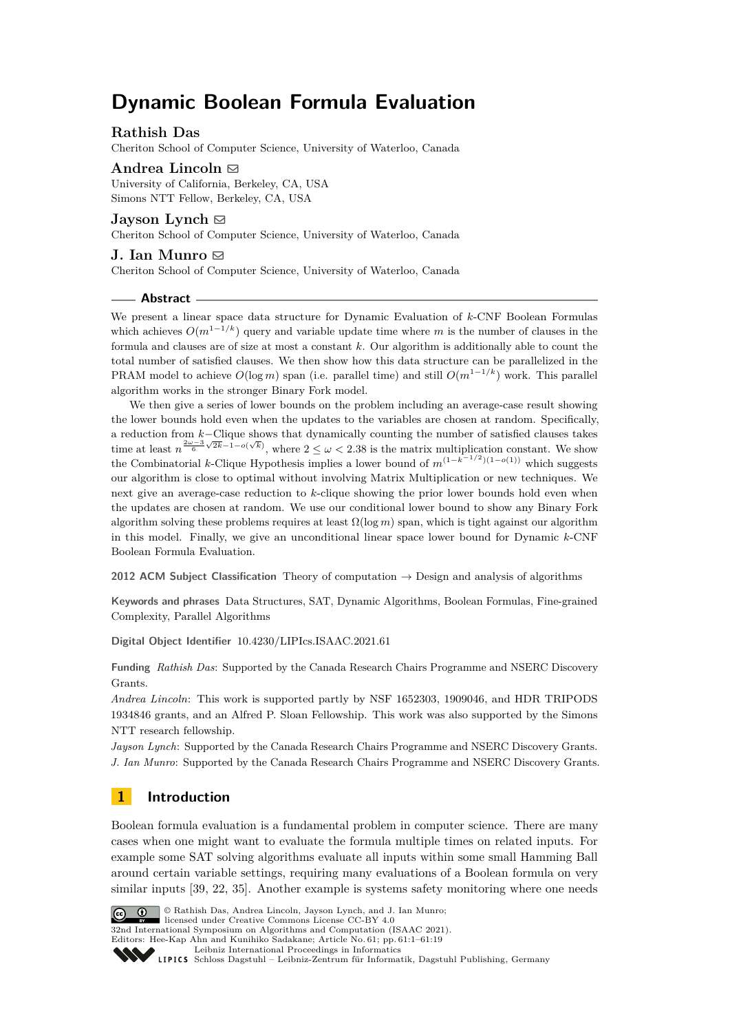# **Dynamic Boolean Formula Evaluation**

# **Rathish Das**

Cheriton School of Computer Science, University of Waterloo, Canada

Andrea Lincoln  $\boxdot$ University of California, Berkeley, CA, USA Simons NTT Fellow, Berkeley, CA, USA

**Jayson** Lynch  $\boxtimes$ Cheriton School of Computer Science, University of Waterloo, Canada

**J. Ian Munro** ⊠ Cheriton School of Computer Science, University of Waterloo, Canada

# **Abstract**

We present a linear space data structure for Dynamic Evaluation of *k*-CNF Boolean Formulas which achieves  $O(m^{1-1/k})$  query and variable update time where *m* is the number of clauses in the formula and clauses are of size at most a constant *k*. Our algorithm is additionally able to count the total number of satisfied clauses. We then show how this data structure can be parallelized in the PRAM model to achieve  $O(\log m)$  span (i.e. parallel time) and still  $O(m^{1-1/k})$  work. This parallel algorithm works in the stronger Binary Fork model.

We then give a series of lower bounds on the problem including an average-case result showing the lower bounds hold even when the updates to the variables are chosen at random. Specifically, a reduction from *k*−Clique shows that dynamically counting the number of satisfied clauses takes time at least  $n^{\frac{2\omega-3}{6}\sqrt{2k-1-o(\sqrt{k})}}$ , where  $2 \leq \omega < 2.38$  is the matrix multiplication constant. We show the Combinatorial *k*-Clique Hypothesis implies a lower bound of  $m^{(1-\hat{k}-1/2)(1-o(1))}$  which suggests our algorithm is close to optimal without involving Matrix Multiplication or new techniques. We next give an average-case reduction to *k*-clique showing the prior lower bounds hold even when the updates are chosen at random. We use our conditional lower bound to show any Binary Fork algorithm solving these problems requires at least Ω(log *m*) span, which is tight against our algorithm in this model. Finally, we give an unconditional linear space lower bound for Dynamic *k*-CNF Boolean Formula Evaluation.

**2012 ACM Subject Classification** Theory of computation → Design and analysis of algorithms

**Keywords and phrases** Data Structures, SAT, Dynamic Algorithms, Boolean Formulas, Fine-grained Complexity, Parallel Algorithms

**Digital Object Identifier** [10.4230/LIPIcs.ISAAC.2021.61](https://doi.org/10.4230/LIPIcs.ISAAC.2021.61)

**Funding** *Rathish Das*: Supported by the Canada Research Chairs Programme and NSERC Discovery Grants.

*Andrea Lincoln*: This work is supported partly by NSF 1652303, 1909046, and HDR TRIPODS 1934846 grants, and an Alfred P. Sloan Fellowship. This work was also supported by the Simons NTT research fellowship.

*Jayson Lynch*: Supported by the Canada Research Chairs Programme and NSERC Discovery Grants. *J. Ian Munro*: Supported by the Canada Research Chairs Programme and NSERC Discovery Grants.

# **1 Introduction**

Boolean formula evaluation is a fundamental problem in computer science. There are many cases when one might want to evaluate the formula multiple times on related inputs. For example some SAT solving algorithms evaluate all inputs within some small Hamming Ball around certain variable settings, requiring many evaluations of a Boolean formula on very similar inputs [\[39,](#page-14-0) [22,](#page-13-0) [35\]](#page-14-1). Another example is systems safety monitoring where one needs



© Rathish Das, Andrea Lincoln, Jayson Lynch, and J. Ian Munro;

licensed under Creative Commons License CC-BY 4.0

32nd International Symposium on Algorithms and Computation (ISAAC 2021). Editors: Hee-Kap Ahn and Kunihiko Sadakane; Article No. 61; pp. 61:1–61:19

[Leibniz International Proceedings in Informatics](https://www.dagstuhl.de/lipics/)

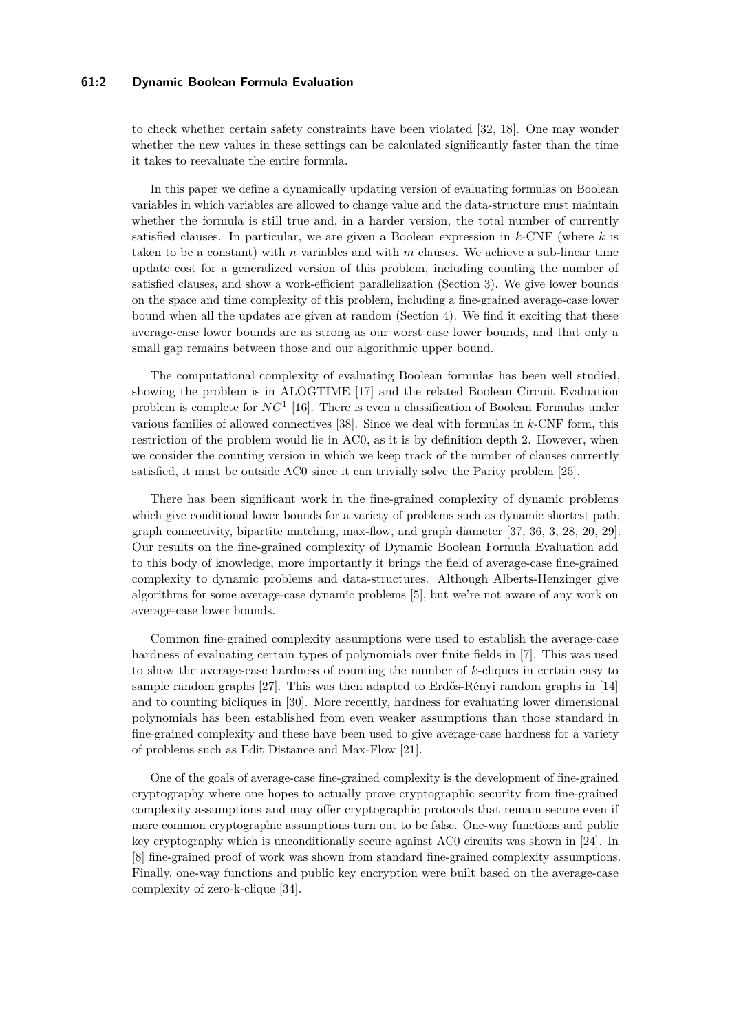## **61:2 Dynamic Boolean Formula Evaluation**

to check whether certain safety constraints have been violated [\[32,](#page-14-2) [18\]](#page-13-1). One may wonder whether the new values in these settings can be calculated significantly faster than the time it takes to reevaluate the entire formula.

In this paper we define a dynamically updating version of evaluating formulas on Boolean variables in which variables are allowed to change value and the data-structure must maintain whether the formula is still true and, in a harder version, the total number of currently satisfied clauses. In particular, we are given a Boolean expression in *k*-CNF (where *k* is taken to be a constant) with *n* variables and with *m* clauses. We achieve a sub-linear time update cost for a generalized version of this problem, including counting the number of satisfied clauses, and show a work-efficient parallelization (Section [3\)](#page-3-0). We give lower bounds on the space and time complexity of this problem, including a fine-grained average-case lower bound when all the updates are given at random (Section [4\)](#page-7-0). We find it exciting that these average-case lower bounds are as strong as our worst case lower bounds, and that only a small gap remains between those and our algorithmic upper bound.

The computational complexity of evaluating Boolean formulas has been well studied, showing the problem is in ALOGTIME [\[17\]](#page-13-2) and the related Boolean Circuit Evaluation problem is complete for *NC*<sup>1</sup> [\[16\]](#page-13-3). There is even a classification of Boolean Formulas under various families of allowed connectives [\[38\]](#page-14-3). Since we deal with formulas in *k*-CNF form, this restriction of the problem would lie in AC0, as it is by definition depth 2. However, when we consider the counting version in which we keep track of the number of clauses currently satisfied, it must be outside AC0 since it can trivially solve the Parity problem [\[25\]](#page-13-4).

There has been significant work in the fine-grained complexity of dynamic problems which give conditional lower bounds for a variety of problems such as dynamic shortest path, graph connectivity, bipartite matching, max-flow, and graph diameter [\[37,](#page-14-4) [36,](#page-14-5) [3,](#page-12-0) [28,](#page-14-6) [20,](#page-13-5) [29\]](#page-14-7). Our results on the fine-grained complexity of Dynamic Boolean Formula Evaluation add to this body of knowledge, more importantly it brings the field of average-case fine-grained complexity to dynamic problems and data-structures. Although Alberts-Henzinger give algorithms for some average-case dynamic problems [\[5\]](#page-12-1), but we're not aware of any work on average-case lower bounds.

Common fine-grained complexity assumptions were used to establish the average-case hardness of evaluating certain types of polynomials over finite fields in [\[7\]](#page-12-2). This was used to show the average-case hardness of counting the number of *k*-cliques in certain easy to sample random graphs [\[27\]](#page-14-8). This was then adapted to Erdős-Rényi random graphs in [\[14\]](#page-13-6) and to counting bicliques in [\[30\]](#page-14-9). More recently, hardness for evaluating lower dimensional polynomials has been established from even weaker assumptions than those standard in fine-grained complexity and these have been used to give average-case hardness for a variety of problems such as Edit Distance and Max-Flow [\[21\]](#page-13-7).

One of the goals of average-case fine-grained complexity is the development of fine-grained cryptography where one hopes to actually prove cryptographic security from fine-grained complexity assumptions and may offer cryptographic protocols that remain secure even if more common cryptographic assumptions turn out to be false. One-way functions and public key cryptography which is unconditionally secure against AC0 circuits was shown in [\[24\]](#page-13-8). In [\[8\]](#page-12-3) fine-grained proof of work was shown from standard fine-grained complexity assumptions. Finally, one-way functions and public key encryption were built based on the average-case complexity of zero-k-clique [\[34\]](#page-14-10).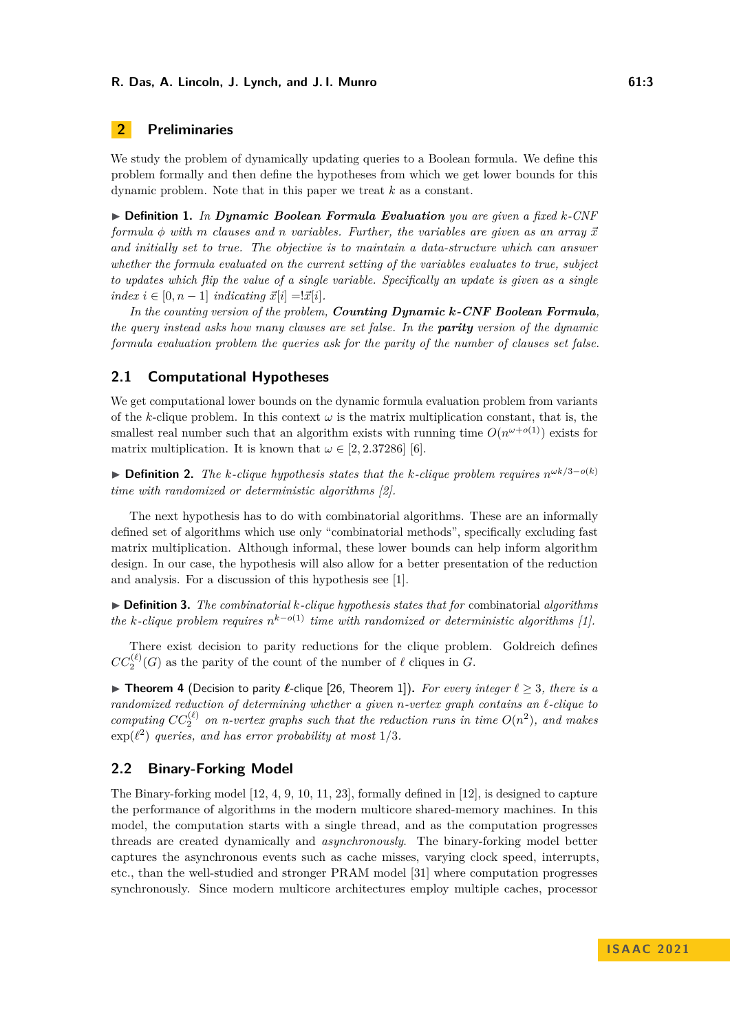# **2 Preliminaries**

We study the problem of dynamically updating queries to a Boolean formula. We define this problem formally and then define the hypotheses from which we get lower bounds for this dynamic problem. Note that in this paper we treat *k* as a constant.

▶ **Definition 1.** *In Dynamic Boolean Formula Evaluation you are given a fixed k-CNF formula* φ with *m* clauses and *n* variables. Further, the variables are given as an array  $\vec{x}$ *and initially set to true. The objective is to maintain a data-structure which can answer whether the formula evaluated on the current setting of the variables evaluates to true, subject to updates which flip the value of a single variable. Specifically an update is given as a single*  $index i \in [0, n-1]$  *indicating*  $\vec{x}[i] = \vec{x}[i]$ .

*In the counting version of the problem, Counting Dynamic k-CNF Boolean Formula, the query instead asks how many clauses are set false. In the parity version of the dynamic formula evaluation problem the queries ask for the parity of the number of clauses set false.*

# **2.1 Computational Hypotheses**

We get computational lower bounds on the dynamic formula evaluation problem from variants of the *k*-clique problem. In this context  $\omega$  is the matrix multiplication constant, that is, the smallest real number such that an algorithm exists with running time  $O(n^{\omega+o(1)})$  exists for matrix multiplication. It is known that  $\omega \in [2, 2.37286]$  [\[6\]](#page-12-4).

▶ **Definition 2.** *The k-clique hypothesis states that the k-clique problem requires*  $n^{\omega k/3-o(k)}$ *time with randomized or deterministic algorithms [\[2\]](#page-12-5).*

The next hypothesis has to do with combinatorial algorithms. These are an informally defined set of algorithms which use only "combinatorial methods", specifically excluding fast matrix multiplication. Although informal, these lower bounds can help inform algorithm design. In our case, the hypothesis will also allow for a better presentation of the reduction and analysis. For a discussion of this hypothesis see [\[1\]](#page-12-6).

▶ **Definition 3.** *The combinatorial k-clique hypothesis states that for* combinatorial *algorithms the k*-clique problem requires  $n^{k-o(1)}$  *time with randomized or deterministic algorithms* [\[1\]](#page-12-6)*.* 

There exist decision to parity reductions for the clique problem. Goldreich defines  $CC_2^{(\ell)}(G)$  as the parity of the count of the number of  $\ell$  cliques in *G*.

▶ **Theorem 4** (Decision to parity *ℓ*-clique [\[26,](#page-13-9) Theorem 1])**.** *For every integer ℓ* ≥ 3*, there is a randomized reduction of determining whether a given n-vertex graph contains an ℓ-clique to computing*  $CC_2^{(\ell)}$  on *n*-vertex graphs such that the reduction runs in time  $O(n^2)$ , and makes  $\exp(\ell^2)$  *queries, and has error probability at most*  $1/3$ *.* 

# **2.2 Binary-Forking Model**

The Binary-forking model [\[12,](#page-13-10) [4,](#page-12-7) [9,](#page-13-11) [10,](#page-13-12) [11,](#page-13-13) [23\]](#page-13-14), formally defined in [\[12\]](#page-13-10), is designed to capture the performance of algorithms in the modern multicore shared-memory machines. In this model, the computation starts with a single thread, and as the computation progresses threads are created dynamically and *asynchronously*. The binary-forking model better captures the asynchronous events such as cache misses, varying clock speed, interrupts, etc., than the well-studied and stronger PRAM model [\[31\]](#page-14-11) where computation progresses synchronously. Since modern multicore architectures employ multiple caches, processor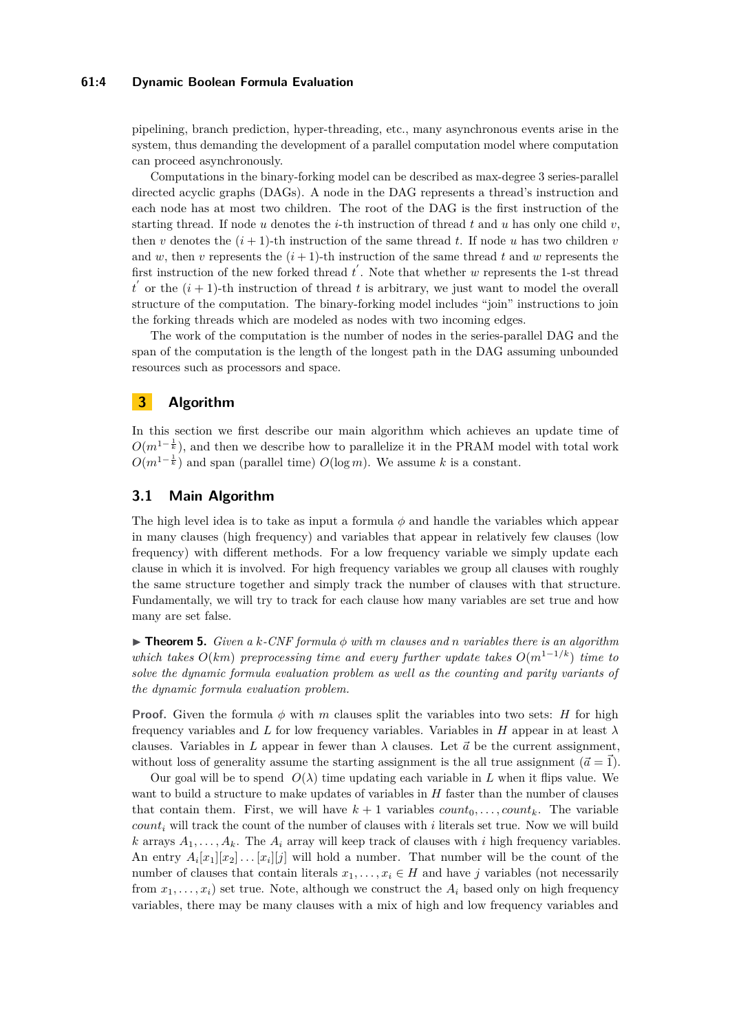## **61:4 Dynamic Boolean Formula Evaluation**

pipelining, branch prediction, hyper-threading, etc., many asynchronous events arise in the system, thus demanding the development of a parallel computation model where computation can proceed asynchronously.

Computations in the binary-forking model can be described as max-degree 3 series-parallel directed acyclic graphs (DAGs). A node in the DAG represents a thread's instruction and each node has at most two children. The root of the DAG is the first instruction of the starting thread. If node  $u$  denotes the *i*-th instruction of thread  $t$  and  $u$  has only one child  $v$ , then *v* denotes the  $(i + 1)$ -th instruction of the same thread *t*. If node *u* has two children *v* and *w*, then *v* represents the  $(i + 1)$ -th instruction of the same thread *t* and *w* represents the first instruction of the new forked thread  $t'$ . Note that whether *w* represents the 1-st thread  $t'$  or the  $(i + 1)$ -th instruction of thread *t* is arbitrary, we just want to model the overall structure of the computation. The binary-forking model includes "join" instructions to join the forking threads which are modeled as nodes with two incoming edges.

The work of the computation is the number of nodes in the series-parallel DAG and the span of the computation is the length of the longest path in the DAG assuming unbounded resources such as processors and space.

# <span id="page-3-0"></span>**3 Algorithm**

In this section we first describe our main algorithm which achieves an update time of  $O(m^{1-\frac{1}{k}})$ , and then we describe how to parallelize it in the PRAM model with total work  $O(m^{1-\frac{1}{k}})$  and span (parallel time)  $O(\log m)$ . We assume *k* is a constant.

# <span id="page-3-1"></span>**3.1 Main Algorithm**

The high level idea is to take as input a formula  $\phi$  and handle the variables which appear in many clauses (high frequency) and variables that appear in relatively few clauses (low frequency) with different methods. For a low frequency variable we simply update each clause in which it is involved. For high frequency variables we group all clauses with roughly the same structure together and simply track the number of clauses with that structure. Fundamentally, we will try to track for each clause how many variables are set true and how many are set false.

▶ **Theorem 5.** *Given a k-CNF formula ϕ with m clauses and n variables there is an algorithm which takes*  $O(km)$  *preprocessing time and every further update takes*  $O(m^{1-1/k})$  *time to solve the dynamic formula evaluation problem as well as the counting and parity variants of the dynamic formula evaluation problem.*

**Proof.** Given the formula  $\phi$  with *m* clauses split the variables into two sets: *H* for high frequency variables and *L* for low frequency variables. Variables in *H* appear in at least *λ* clauses. Variables in L appear in fewer than  $\lambda$  clauses. Let  $\vec{a}$  be the current assignment, without loss of generality assume the starting assignment is the all true assignment  $(\vec{a} = \vec{1})$ .

Our goal will be to spend  $O(\lambda)$  time updating each variable in *L* when it flips value. We want to build a structure to make updates of variables in *H* faster than the number of clauses that contain them. First, we will have  $k + 1$  variables  $count_0, \ldots, count_k$ . The variable *count<sup>i</sup>* will track the count of the number of clauses with *i* literals set true. Now we will build *k* arrays  $A_1, \ldots, A_k$ . The  $A_i$  array will keep track of clauses with *i* high frequency variables. An entry  $A_i[x_1][x_2] \ldots [x_i][j]$  will hold a number. That number will be the count of the number of clauses that contain literals  $x_1, \ldots, x_i \in H$  and have *j* variables (not necessarily from  $x_1, \ldots, x_i$  set true. Note, although we construct the  $A_i$  based only on high frequency variables, there may be many clauses with a mix of high and low frequency variables and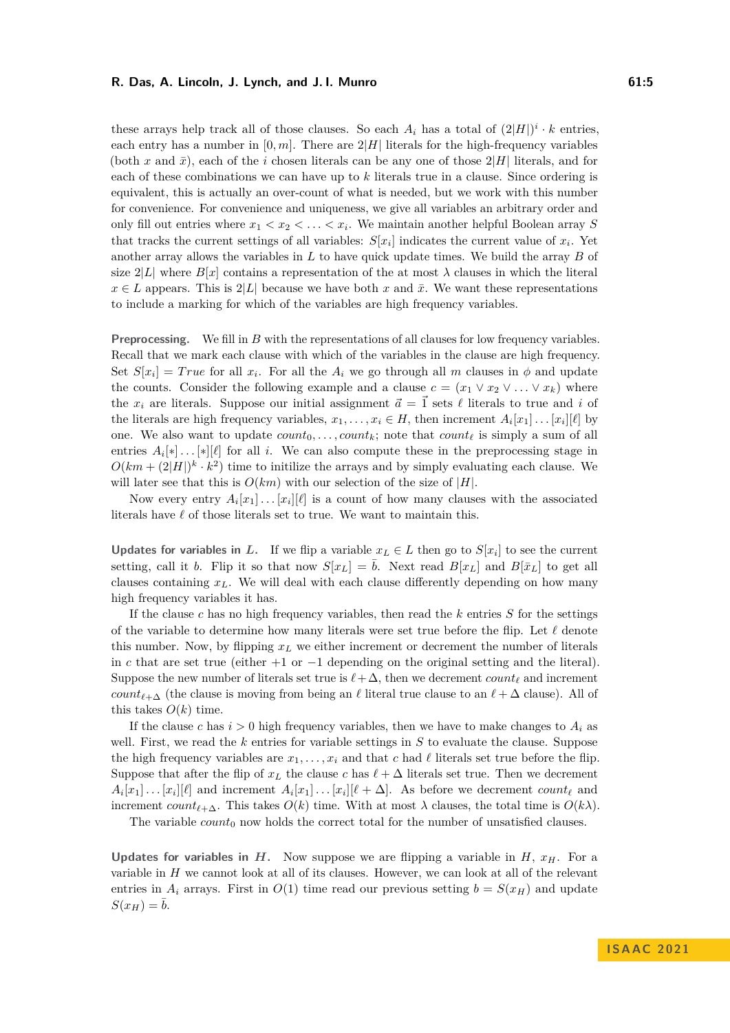these arrays help track all of those clauses. So each  $A_i$  has a total of  $(2|H|)^i \cdot k$  entries, each entry has a number in  $[0, m]$ . There are  $2|H|$  literals for the high-frequency variables (both x and  $\bar{x}$ ), each of the *i* chosen literals can be any one of those  $2|H|$  literals, and for each of these combinations we can have up to *k* literals true in a clause. Since ordering is equivalent, this is actually an over-count of what is needed, but we work with this number for convenience. For convenience and uniqueness, we give all variables an arbitrary order and only fill out entries where  $x_1 < x_2 < \ldots < x_i$ . We maintain another helpful Boolean array S that tracks the current settings of all variables:  $S[x_i]$  indicates the current value of  $x_i$ . Yet another array allows the variables in *L* to have quick update times. We build the array *B* of size  $2|L|$  where  $B[x]$  contains a representation of the at most  $\lambda$  clauses in which the literal  $x \in L$  appears. This is  $2|L|$  because we have both *x* and  $\bar{x}$ . We want these representations to include a marking for which of the variables are high frequency variables.

**Preprocessing.** We fill in *B* with the representations of all clauses for low frequency variables. Recall that we mark each clause with which of the variables in the clause are high frequency. Set  $S[x_i] = True$  for all  $x_i$ . For all the  $A_i$  we go through all  $m$  clauses in  $\phi$  and update the counts. Consider the following example and a clause  $c = (x_1 \vee x_2 \vee \ldots \vee x_k)$  where the  $x_i$  are literals. Suppose our initial assignment  $\vec{a} = \vec{1}$  sets  $\ell$  literals to true and *i* of the literals are high frequency variables,  $x_1, \ldots, x_i \in H$ , then increment  $A_i[x_1] \ldots [x_i][\ell]$  by one. We also want to update  $count_0, \ldots, count_k$ ; note that  $count_\ell$  is simply a sum of all entries  $A_i[*] \dots[*][\ell]$  for all *i*. We can also compute these in the preprocessing stage in  $O(km + (2|H|)^k \cdot k^2)$  time to initilize the arrays and by simply evaluating each clause. We will later see that this is  $O(km)$  with our selection of the size of  $|H|$ .

Now every entry  $A_i[x_1] \ldots [x_i][\ell]$  is a count of how many clauses with the associated literals have *ℓ* of those literals set to true. We want to maintain this.

**Updates for variables in** *L***.** If we flip a variable  $x_L \in L$  then go to  $S[x_i]$  to see the current setting, call it *b*. Flip it so that now  $S[x_L] = \overline{b}$ . Next read  $B[x_L]$  and  $B[\overline{x}_L]$  to get all clauses containing *xL*. We will deal with each clause differently depending on how many high frequency variables it has.

If the clause *c* has no high frequency variables, then read the *k* entries *S* for the settings of the variable to determine how many literals were set true before the flip. Let *ℓ* denote this number. Now, by flipping  $x_L$  we either increment or decrement the number of literals in *c* that are set true (either +1 or −1 depending on the original setting and the literal). Suppose the new number of literals set true is  $\ell + \Delta$ , then we decrement *count*<sub> $\ell$ </sub> and increment *count*<sub> $\ell+\Delta$ </sub> (the clause is moving from being an  $\ell$  literal true clause to an  $\ell+\Delta$  clause). All of this takes  $O(k)$  time.

If the clause c has  $i > 0$  high frequency variables, then we have to make changes to  $A_i$  as well. First, we read the *k* entries for variable settings in *S* to evaluate the clause. Suppose the high frequency variables are  $x_1, \ldots, x_i$  and that *c* had  $\ell$  literals set true before the flip. Suppose that after the flip of  $x_L$  the clause  $c$  has  $\ell + \Delta$  literals set true. Then we decrement  $A_i[x_1] \dots [x_i][\ell]$  and increment  $A_i[x_1] \dots [x_i][\ell + \Delta]$ . As before we decrement  $count_{\ell}$  and increment *count*<sub> $\ell+\Delta$ . This takes  $O(k)$  time. With at most  $\lambda$  clauses, the total time is  $O(k\lambda)$ .

The variable  $count_0$  now holds the correct total for the number of unsatisfied clauses.

**Updates for variables in** *H***.** Now suppose we are flipping a variable in *H*,  $x<sub>H</sub>$ . For a variable in *H* we cannot look at all of its clauses. However, we can look at all of the relevant entries in  $A_i$  arrays. First in  $O(1)$  time read our previous setting  $b = S(x_H)$  and update  $S(x_H) = \overline{b}$ .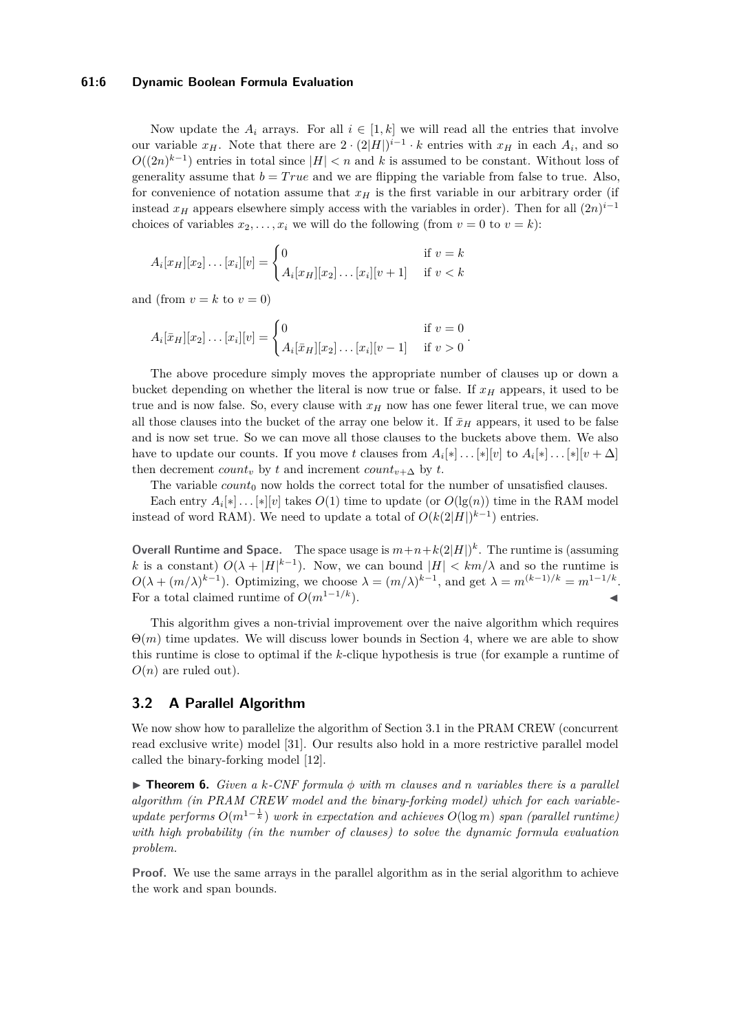## **61:6 Dynamic Boolean Formula Evaluation**

Now update the  $A_i$  arrays. For all  $i \in [1, k]$  we will read all the entries that involve our variable  $x_H$ . Note that there are  $2 \cdot (2|H|)^{i-1} \cdot k$  entries with  $x_H$  in each  $A_i$ , and so  $O((2n)^{k-1})$  entries in total since  $|H| < n$  and *k* is assumed to be constant. Without loss of generality assume that  $b = True$  and we are flipping the variable from false to true. Also, for convenience of notation assume that  $x_H$  is the first variable in our arbitrary order (if instead  $x$ <sup>*H*</sup> appears elsewhere simply access with the variables in order). Then for all  $(2n)^{i-1}$ choices of variables  $x_2, \ldots, x_i$  we will do the following (from  $v = 0$  to  $v = k$ ):

$$
A_i[x_H][x_2]\dots[x_i][v] = \begin{cases} 0 & \text{if } v = k \\ A_i[x_H][x_2]\dots[x_i][v+1] & \text{if } v < k \end{cases}
$$

and (from  $v = k$  to  $v = 0$ )

$$
A_i[\bar{x}_H][x_2]\dots[x_i][v] = \begin{cases} 0 & \text{if } v = 0\\ A_i[\bar{x}_H][x_2]\dots[x_i][v-1] & \text{if } v > 0 \end{cases}.
$$

The above procedure simply moves the appropriate number of clauses up or down a bucket depending on whether the literal is now true or false. If *x<sup>H</sup>* appears, it used to be true and is now false. So, every clause with  $x<sub>H</sub>$  now has one fewer literal true, we can move all those clauses into the bucket of the array one below it. If  $\bar{x}_H$  appears, it used to be false and is now set true. So we can move all those clauses to the buckets above them. We also have to update our counts. If you move *t* clauses from  $A_i[*] \dots[*][v]$  to  $A_i[*] \dots[*][v + \Delta]$ then decrement *count<sub>v</sub>* by *t* and increment *count<sub>v+</sub>* by *t*.

The variable  $count_0$  now holds the correct total for the number of unsatisfied clauses.

Each entry  $A_i[*] \ldots[*][v]$  takes  $O(1)$  time to update (or  $O(\lg(n))$  time in the RAM model instead of word RAM). We need to update a total of  $O(k(2|H|)^{k-1})$  entries.

**Overall Runtime and Space.** The space usage is  $m+n+k(2|H|)^k$ . The runtime is (assuming *k* is a constant)  $O(\lambda + |H|^{k-1})$ . Now, we can bound  $|H| < km/\lambda$  and so the runtime is  $O(\lambda + (m/\lambda)^{k-1})$ . Optimizing, we choose  $\lambda = (m/\lambda)^{k-1}$ , and get  $\lambda = m^{(k-1)/k} = m^{1-1/k}$ . For a total claimed runtime of  $O(m^{1-1/k})$ .

This algorithm gives a non-trivial improvement over the naive algorithm which requires  $\Theta(m)$  time updates. We will discuss lower bounds in Section [4,](#page-7-0) where we are able to show this runtime is close to optimal if the *k*-clique hypothesis is true (for example a runtime of  $O(n)$  are ruled out).

# **3.2 A Parallel Algorithm**

We now show how to parallelize the algorithm of Section [3.1](#page-3-1) in the PRAM CREW (concurrent read exclusive write) model [\[31\]](#page-14-11). Our results also hold in a more restrictive parallel model called the binary-forking model [\[12\]](#page-13-10).

 $\triangleright$  **Theorem 6.** *Given a k-CNF formula*  $\phi$  *with m clauses and n variables there is a parallel algorithm (in PRAM CREW model and the binary-forking model) which for each variableupdate performs O*(*m*<sup>1</sup><sup>−</sup> <sup>1</sup> *<sup>k</sup>* ) *work in expectation and achieves O*(log *m*) *span (parallel runtime) with high probability (in the number of clauses) to solve the dynamic formula evaluation problem.*

**Proof.** We use the same arrays in the parallel algorithm as in the serial algorithm to achieve the work and span bounds.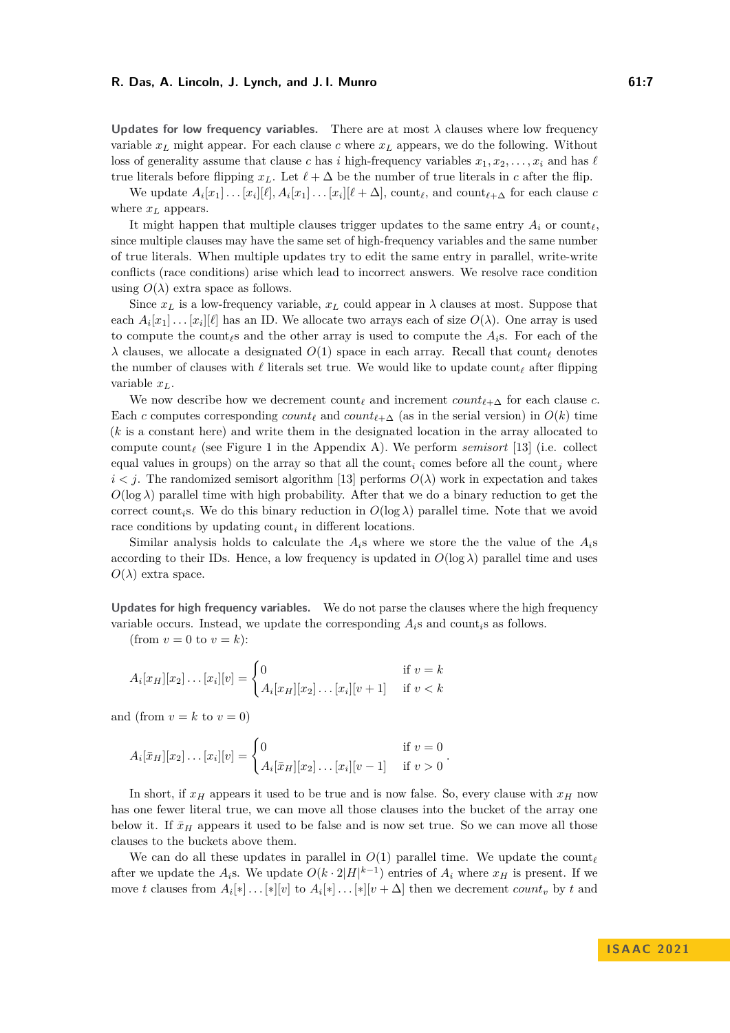**Updates for low frequency variables.** There are at most  $\lambda$  clauses where low frequency variable *x<sup>L</sup>* might appear. For each clause *c* where *x<sup>L</sup>* appears, we do the following. Without loss of generality assume that clause *c* has *i* high-frequency variables  $x_1, x_2, \ldots, x_i$  and has  $\ell$ true literals before flipping  $x_L$ . Let  $\ell + \Delta$  be the number of true literals in *c* after the flip.

We update  $A_i[x_1] \ldots [x_i][\ell], A_i[x_1] \ldots [x_i][\ell + \Delta], \text{count}_{\ell}, \text{and } \text{count}_{\ell+\Delta} \text{ for each clause } c$ where  $x_L$  appears.

It might happen that multiple clauses trigger updates to the same entry  $A_i$  or count $\ell$ . since multiple clauses may have the same set of high-frequency variables and the same number of true literals. When multiple updates try to edit the same entry in parallel, write-write conflicts (race conditions) arise which lead to incorrect answers. We resolve race condition using  $O(\lambda)$  extra space as follows.

Since  $x_L$  is a low-frequency variable,  $x_L$  could appear in  $\lambda$  clauses at most. Suppose that each  $A_i[x_1] \ldots [x_i][\ell]$  has an ID. We allocate two arrays each of size  $O(\lambda)$ . One array is used to compute the count*ℓ*s and the other array is used to compute the *Ai*s. For each of the *λ* clauses, we allocate a designated *O*(1) space in each array. Recall that count*<sup>ℓ</sup>* denotes the number of clauses with *ℓ* literals set true. We would like to update count*<sup>ℓ</sup>* after flipping variable *xL*.

We now describe how we decrement  $count_{\ell}$  and increment  $count_{\ell+\Delta}$  for each clause *c*. Each *c* computes corresponding  $count_\ell$  and  $count_{\ell+\Delta}$  (as in the serial version) in  $O(k)$  time (*k* is a constant here) and write them in the designated location in the array allocated to compute count*<sup>ℓ</sup>* (see Figure [1](#page-14-12) in the Appendix [A\)](#page-14-13). We perform *semisort* [\[13\]](#page-13-15) (i.e. collect equal values in groups) on the array so that all the count<sub>i</sub> comes before all the count<sub>i</sub> where  $i < j$ . The randomized semisort algorithm [\[13\]](#page-13-15) performs  $O(\lambda)$  work in expectation and takes  $O(\log \lambda)$  parallel time with high probability. After that we do a binary reduction to get the correct count<sub>i</sub>s. We do this binary reduction in  $O(\log \lambda)$  parallel time. Note that we avoid race conditions by updating count<sub>i</sub> in different locations.

Similar analysis holds to calculate the  $A_i$ s where we store the the value of the  $A_i$ s according to their IDs. Hence, a low frequency is updated in  $O(\log \lambda)$  parallel time and uses  $O(\lambda)$  extra space.

**Updates for high frequency variables.** We do not parse the clauses where the high frequency variable occurs. Instead, we update the corresponding  $A_i$ s and count $i$ s as follows.

(from  $v = 0$  to  $v = k$ ):

$$
A_i[x_H][x_2]\dots[x_i][v] = \begin{cases} 0 & \text{if } v = k \\ A_i[x_H][x_2]\dots[x_i][v+1] & \text{if } v < k \end{cases}
$$

and (from  $v = k$  to  $v = 0$ )

$$
A_i[\bar{x}_H][x_2]\dots[x_i][v] = \begin{cases} 0 & \text{if } v = 0\\ A_i[\bar{x}_H][x_2]\dots[x_i][v-1] & \text{if } v > 0 \end{cases}.
$$

In short, if  $x_H$  appears it used to be true and is now false. So, every clause with  $x_H$  now has one fewer literal true, we can move all those clauses into the bucket of the array one below it. If  $\bar{x}_H$  appears it used to be false and is now set true. So we can move all those clauses to the buckets above them.

We can do all these updates in parallel in  $O(1)$  parallel time. We update the count<sub>*ℓ*</sub> after we update the  $A_i$ s. We update  $O(k \cdot 2|H|^{k-1})$  entries of  $A_i$  where  $x_H$  is present. If we move *t* clauses from  $A_i[*] \dots[*][v]$  to  $A_i[*] \dots[*][v + \Delta]$  then we decrement *count<sub>v</sub>* by *t* and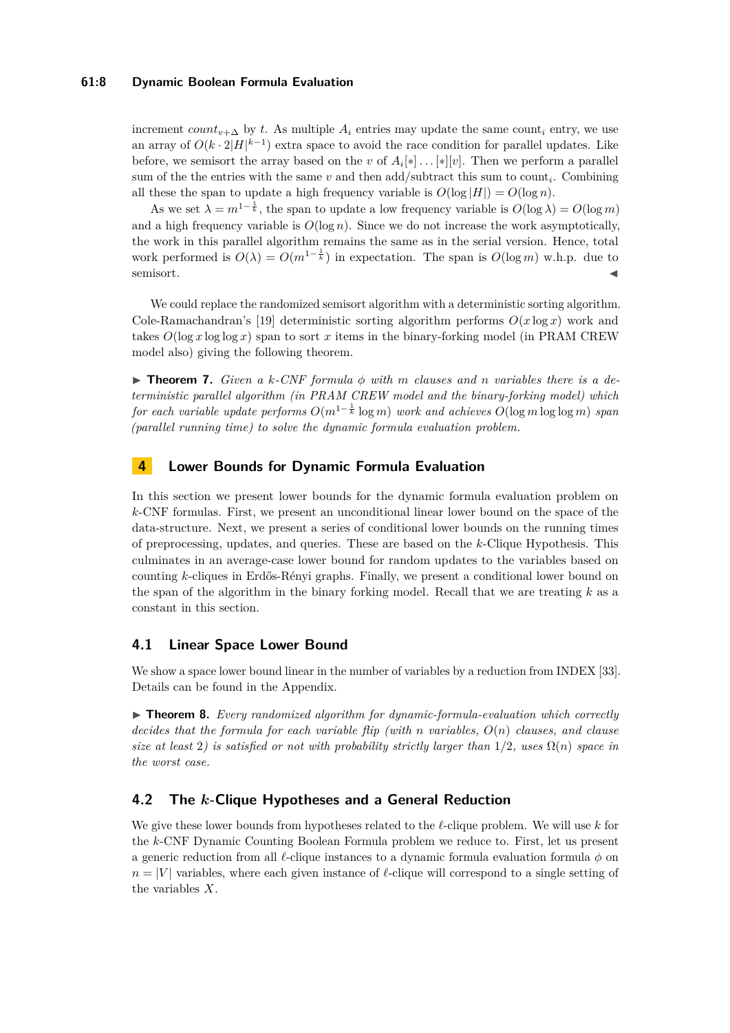## **61:8 Dynamic Boolean Formula Evaluation**

increment *count*<sub>*v*+ $\Delta$ </sub> by *t*. As multiple  $A_i$  entries may update the same count<sub>*i*</sub> entry, we use an array of  $O(k \cdot 2|H|^{k-1})$  extra space to avoid the race condition for parallel updates. Like before, we semisort the array based on the *v* of  $A_i[*] \dots[*][v]$ . Then we perform a parallel sum of the the entries with the same *v* and then add/subtract this sum to count*<sup>i</sup>* . Combining all these the span to update a high frequency variable is  $O(\log |H|) = O(\log n)$ .

As we set  $\lambda = m^{1-\frac{1}{k}}$ , the span to update a low frequency variable is  $O(\log \lambda) = O(\log m)$ and a high frequency variable is  $O(\log n)$ . Since we do not increase the work asymptotically, the work in this parallel algorithm remains the same as in the serial version. Hence, total work performed is  $O(\lambda) = O(m^{1-\frac{1}{k}})$  in expectation. The span is  $O(\log m)$  w.h.p. due to semisort.

We could replace the randomized semisort algorithm with a deterministic sorting algorithm. Cole-Ramachandran's [\[19\]](#page-13-16) deterministic sorting algorithm performs *O*(*x* log *x*) work and takes  $O(\log x \log \log x)$  span to sort x items in the binary-forking model (in PRAM CREW model also) giving the following theorem.

 $\triangleright$  **Theorem 7.** *Given a k-CNF formula*  $\phi$  *with m clauses and n variables there is a deterministic parallel algorithm (in PRAM CREW model and the binary-forking model) which for each variable update performs O*(*m*1<sup>−</sup> <sup>1</sup> *<sup>k</sup>* log *m*) *work and achieves O*(log *m* log log *m*) *span (parallel running time) to solve the dynamic formula evaluation problem.*

# <span id="page-7-0"></span>**4 Lower Bounds for Dynamic Formula Evaluation**

In this section we present lower bounds for the dynamic formula evaluation problem on *k*-CNF formulas. First, we present an unconditional linear lower bound on the space of the data-structure. Next, we present a series of conditional lower bounds on the running times of preprocessing, updates, and queries. These are based on the *k*-Clique Hypothesis. This culminates in an average-case lower bound for random updates to the variables based on counting *k*-cliques in Erdős-Rényi graphs. Finally, we present a conditional lower bound on the span of the algorithm in the binary forking model. Recall that we are treating *k* as a constant in this section.

# **4.1 Linear Space Lower Bound**

We show a space lower bound linear in the number of variables by a reduction from INDEX [\[33\]](#page-14-14). Details can be found in the Appendix.

▶ **Theorem 8.** *Every randomized algorithm for dynamic-formula-evaluation which correctly decides that the formula for each variable flip (with n variables, O*(*n*) *clauses, and clause size at least* 2*) is satisfied or not with probability strictly larger than*  $1/2$ *, uses*  $\Omega(n)$  *space in the worst case.*

# **4.2 The** *k***-Clique Hypotheses and a General Reduction**

<span id="page-7-1"></span>We give these lower bounds from hypotheses related to the *ℓ*-clique problem. We will use *k* for the *k*-CNF Dynamic Counting Boolean Formula problem we reduce to. First, let us present a generic reduction from all *ℓ*-clique instances to a dynamic formula evaluation formula *ϕ* on  $n = |V|$  variables, where each given instance of  $\ell$ -clique will correspond to a single setting of the variables *X*.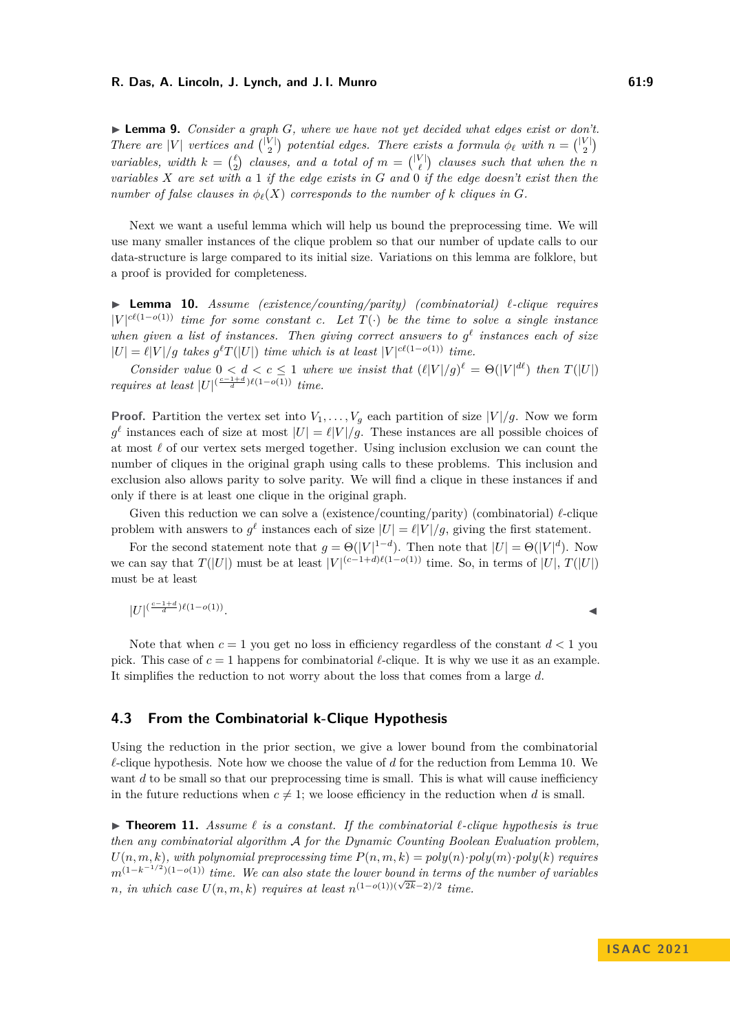▶ **Lemma 9.** *Consider a graph G, where we have not yet decided what edges exist or don't. There are* |*V*| *vertices and*  $\binom{|V|}{2}$  *potential edges. There exists a formula*  $\phi_{\ell}$  *with*  $n = \binom{|V|}{2}$ *variables, width*  $k = \binom{\ell}{2}$  *clauses, and a total of*  $m = \binom{|V|}{\ell}$  *clauses such that when the n variables X are set with a* 1 *if the edge exists in G and* 0 *if the edge doesn't exist then the number of false clauses in*  $\phi_{\ell}(X)$  *corresponds to the number of k cliques in G*.

Next we want a useful lemma which will help us bound the preprocessing time. We will use many smaller instances of the clique problem so that our number of update calls to our data-structure is large compared to its initial size. Variations on this lemma are folklore, but a proof is provided for completeness.

<span id="page-8-0"></span>▶ **Lemma 10.** *Assume (existence/counting/parity) (combinatorial) ℓ-clique requires*  $|V|^{c\ell(1-o(1))}$  *time for some constant c.* Let  $T(\cdot)$  be the time to solve a single instance *when given a list of instances. Then giving correct answers to*  $g^{\ell}$  *instances each of size*  $|U| = \ell |V|/g$  takes  $g^{\ell}T(|U|)$  *time which is at least*  $|V|^{c\ell(1-o(1))}$  *time.* 

*Consider value*  $0 < d < c \leq 1$  *where we insist that*  $(\ell|V|/g)^{\ell} = \Theta(|V|^{d\ell})$  *then*  $T(|U|)$ *requires at least*  $|U|^{(\frac{c-1+d}{d})\ell(1-o(1))}$  *time.* 

**Proof.** Partition the vertex set into  $V_1, \ldots, V_g$  each partition of size  $|V|/g$ . Now we form  $g^{\ell}$  instances each of size at most  $|U| = \ell |V|/g$ . These instances are all possible choices of at most *ℓ* of our vertex sets merged together. Using inclusion exclusion we can count the number of cliques in the original graph using calls to these problems. This inclusion and exclusion also allows parity to solve parity. We will find a clique in these instances if and only if there is at least one clique in the original graph.

Given this reduction we can solve a (existence/counting/parity) (combinatorial) *ℓ*-clique problem with answers to  $g^{\ell}$  instances each of size  $|U| = \ell |V|/g$ , giving the first statement.

For the second statement note that  $g = \Theta(|V|^{1-d})$ . Then note that  $|U| = \Theta(|V|^d)$ . Now we can say that  $T(|U|)$  must be at least  $|V|^{(c-1+d)\ell(1-o(1))}$  time. So, in terms of  $|U|$ ,  $T(|U|)$ must be at least

$$
|U|^{(\frac{c-1+d}{d})\ell(1-o(1))}.
$$

Note that when  $c = 1$  you get no loss in efficiency regardless of the constant  $d < 1$  you pick. This case of  $c = 1$  happens for combinatorial  $\ell$ -clique. It is why we use it as an example. It simplifies the reduction to not worry about the loss that comes from a large *d*.

## <span id="page-8-1"></span>**4.3 From the Combinatorial k-Clique Hypothesis**

Using the reduction in the prior section, we give a lower bound from the combinatorial *ℓ*-clique hypothesis. Note how we choose the value of *d* for the reduction from Lemma [10.](#page-8-0) We want *d* to be small so that our preprocessing time is small. This is what will cause inefficiency in the future reductions when  $c \neq 1$ ; we loose efficiency in the reduction when *d* is small.

<span id="page-8-2"></span>▶ **Theorem 11.** *Assume ℓ is a constant. If the combinatorial ℓ-clique hypothesis is true then any combinatorial algorithm* A *for the Dynamic Counting Boolean Evaluation problem,*  $U(n, m, k)$ *, with polynomial preprocessing time*  $P(n, m, k) = poly(n) \cdot poly(m) \cdot poly(k)$  *requires m*<sup>(1−*k*<sup>-1/2</sup>)(1−*o*(1)) *time.* We can also state the lower bound in terms of the number of variables</sup> *n*, in which case  $U(n, m, k)$  requires at least  $n^{(1-o(1))(\sqrt{2k}-2)/2}$  time.

**I S A AC 2 0 2 1**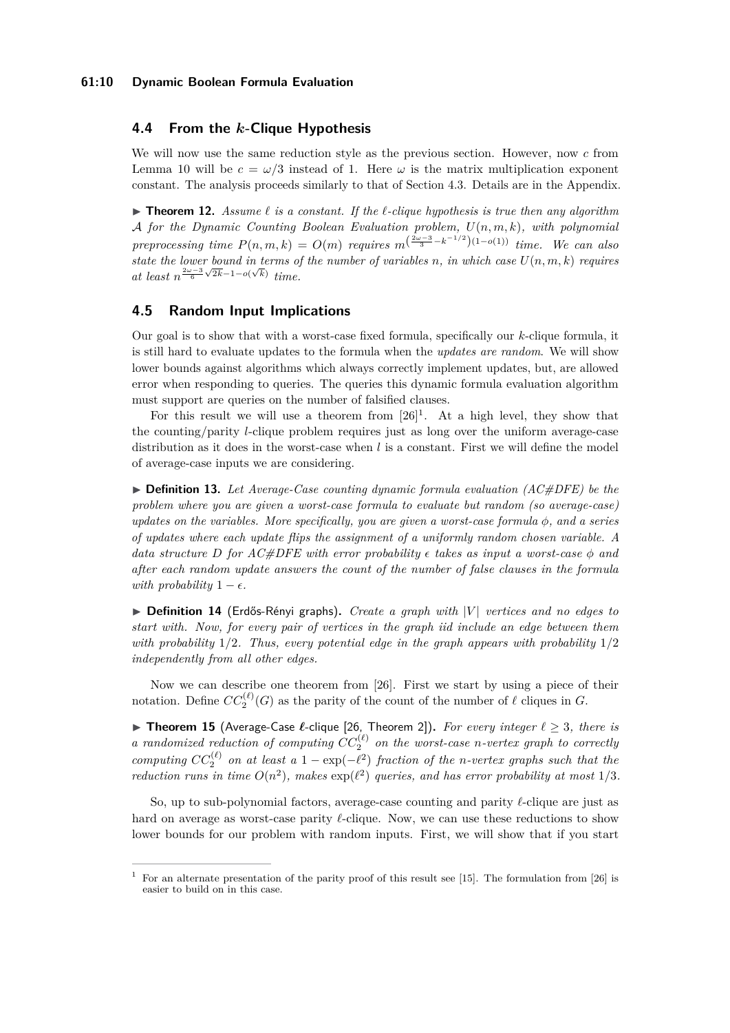# **4.4 From the** *k***-Clique Hypothesis**

We will now use the same reduction style as the previous section. However, now *c* from Lemma [10](#page-8-0) will be  $c = \omega/3$  instead of 1. Here  $\omega$  is the matrix multiplication exponent constant. The analysis proceeds similarly to that of Section [4.3.](#page-8-1) Details are in the Appendix.

<span id="page-9-2"></span>▶ **Theorem 12.** *Assume ℓ is a constant. If the ℓ-clique hypothesis is true then any algorithm* A *for the Dynamic Counting Boolean Evaluation problem, U*(*n, m, k*)*, with polynomial preprocessing time*  $P(n, m, k) = O(m)$  *requires*  $m^{\left(\frac{2\omega-3}{3} - k^{-1/2}\right)(1-o(1))}$  *time.* We can also state the lower bound in terms of the number of variables *n*, in which case  $U(n, m, k)$  requires *at least*  $n^{\frac{2\omega-3}{6}\sqrt{2k}-1-o(\sqrt{k})}$  *time.* 

# **4.5 Random Input Implications**

Our goal is to show that with a worst-case fixed formula, specifically our *k*-clique formula, it is still hard to evaluate updates to the formula when the *updates are random*. We will show lower bounds against algorithms which always correctly implement updates, but, are allowed error when responding to queries. The queries this dynamic formula evaluation algorithm must support are queries on the number of falsified clauses.

For this result we will use a theorem from  $[26]$ <sup>[1](#page-9-0)</sup>. At a high level, they show that the counting/parity *l*-clique problem requires just as long over the uniform average-case distribution as it does in the worst-case when *l* is a constant. First we will define the model of average-case inputs we are considering.

▶ **Definition 13.** *Let Average-Case counting dynamic formula evaluation (AC#DFE) be the problem where you are given a worst-case formula to evaluate but random (so average-case) updates on the variables. More specifically, you are given a worst-case formula ϕ, and a series of updates where each update flips the assignment of a uniformly random chosen variable. A data structure D for AC#DFE with error probability*  $\epsilon$  *takes as input a worst-case*  $\phi$  *and after each random update answers the count of the number of false clauses in the formula with probability*  $1 - \epsilon$ *.* 

▶ **Definition 14** (Erdős-Rényi graphs)**.** *Create a graph with* |*V* | *vertices and no edges to start with. Now, for every pair of vertices in the graph iid include an edge between them with probability* 1*/*2*. Thus, every potential edge in the graph appears with probability* 1*/*2 *independently from all other edges.*

Now we can describe one theorem from [\[26\]](#page-13-9). First we start by using a piece of their notation. Define  $CC_2^{(\ell)}(G)$  as the parity of the count of the number of  $\ell$  cliques in  $G$ .

<span id="page-9-1"></span>▶ **Theorem 15** (Average-Case *ℓ*-clique [\[26,](#page-13-9) Theorem 2])**.** *For every integer ℓ* ≥ 3*, there is a* randomized reduction of computing  $CC_2^{(\ell)}$  on the worst-case *n*-vertex graph to correctly *computing*  $CC_2^{(\ell)}$  on at least a 1 – exp( $-\ell^2$ ) *fraction of the n-vertex graphs such that the reduction runs in time*  $O(n^2)$ , makes  $\exp(\ell^2)$  queries, and has error probability at most  $1/3$ .

So, up to sub-polynomial factors, average-case counting and parity *ℓ*-clique are just as hard on average as worst-case parity *ℓ*-clique. Now, we can use these reductions to show lower bounds for our problem with random inputs. First, we will show that if you start

<span id="page-9-0"></span><sup>&</sup>lt;sup>1</sup> For an alternate presentation of the parity proof of this result see [\[15\]](#page-13-17). The formulation from [\[26\]](#page-13-9) is easier to build on in this case.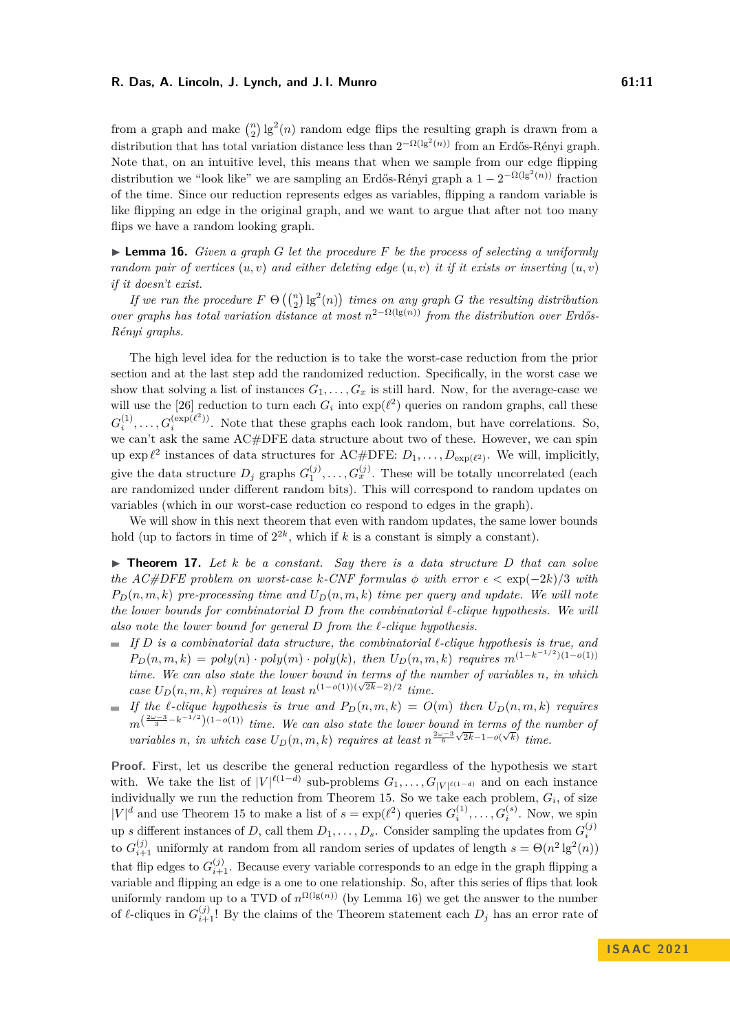from a graph and make  $\binom{n}{2}$  lg<sup>2</sup>(*n*) random edge flips the resulting graph is drawn from a distribution that has total variation distance less than  $2^{-\Omega(\lg^2(n))}$  from an Erdős-Rényi graph. Note that, on an intuitive level, this means that when we sample from our edge flipping distribution we "look like" we are sampling an Erdős-Rényi graph a  $1 - 2^{-\Omega(\lg^2(n))}$  fraction of the time. Since our reduction represents edges as variables, flipping a random variable is like flipping an edge in the original graph, and we want to argue that after not too many flips we have a random looking graph.

<span id="page-10-0"></span>▶ **Lemma 16.** *Given a graph G let the procedure F be the process of selecting a uniformly random pair of vertices*  $(u, v)$  *and either deleting edge*  $(u, v)$  *it if it exists or inserting*  $(u, v)$ *if it doesn't exist.*

*If we run the procedure*  $F \Theta\left(\binom{n}{2}lg^2(n)\right)$  *times on any graph G the resulting distribution over graphs has total variation distance at most*  $n^{2-\Omega(\lg(n))}$  *from the distribution over Erdős-Rényi graphs.*

The high level idea for the reduction is to take the worst-case reduction from the prior section and at the last step add the randomized reduction. Specifically, in the worst case we show that solving a list of instances  $G_1, \ldots, G_x$  is still hard. Now, for the average-case we will use the [\[26\]](#page-13-9) reduction to turn each  $G_i$  into  $\exp(\ell^2)$  queries on random graphs, call these  $G_i^{(1)}, \ldots, G_i^{(\exp(\ell^2))}$ . Note that these graphs each look random, but have correlations. So, we can't ask the same AC#DFE data structure about two of these. However, we can spin up  $\exp \ell^2$  instances of data structures for AC#DFE:  $D_1, \ldots, D_{\exp(\ell^2)}$ . We will, implicitly, give the data structure  $D_j$  graphs  $G_1^{(j)}, \ldots, G_x^{(j)}$ . These will be totally uncorrelated (each are randomized under different random bits). This will correspond to random updates on variables (which in our worst-case reduction co respond to edges in the graph).

We will show in this next theorem that even with random updates, the same lower bounds hold (up to factors in time of  $2^{2k}$ , which if *k* is a constant is simply a constant).

 $\triangleright$  **Theorem 17.** Let *k* be a constant. Say there is a data structure D that can solve *the AC#DFE problem on worst-case k-CNF formulas*  $\phi$  *with error*  $\epsilon < \exp(-2k)/3$  *with*  $P_D(n,m,k)$  *pre-processing time and*  $U_D(n,m,k)$  *time per query and update. We will note the lower bounds for combinatorial D from the combinatorial ℓ-clique hypothesis. We will also note the lower bound for general D from the ℓ-clique hypothesis.*

- *If D is a combinatorial data structure, the combinatorial ℓ-clique hypothesis is true, and*  $P_D(n,m,k) = poly(n) \cdot poly(m) \cdot poly(k)$ , then  $U_D(n,m,k)$  requires  $m^{(1-k^{-1/2})(1-o(1))}$ *time. We can also state the lower bound in terms of the number of variables n, in which case*  $U_D(n, m, k)$  *requires at least*  $n^{(1-o(1))(\sqrt{2k}-2)/2}$  *time.*
- $\blacksquare$  *If the ℓ*-*clique hypothesis is true and*  $P_D(n,m,k) = O(m)$  *then*  $U_D(n,m,k)$  *requires*  $m^{(\frac{2\omega-3}{3}-k^{-1/2})(1-o(1))}$  *time. We can also state the lower bound in terms of the number of variables n*, *in which case*  $U_D(n,m,k)$  *requires at least*  $n^{\frac{2\omega-3}{6}}$  $\sqrt{2k-1-o(\sqrt{k})}$  *time.*

**Proof.** First, let us describe the general reduction regardless of the hypothesis we start with. We take the list of  $|V|^{\ell(1-d)}$  sub-problems  $G_1, \ldots, G_{|V|^{\ell(1-d)}}$  and on each instance individually we run the reduction from Theorem [15.](#page-9-1) So we take each problem,  $G_i$ , of size  $|V|^d$  and use Theorem [15](#page-9-1) to make a list of  $s = \exp(\ell^2)$  queries  $G_i^{(1)}, \ldots, G_i^{(s)}$ . Now, we spin up *s* different instances of *D*, call them  $D_1, \ldots, D_s$ . Consider sampling the updates from  $G_i^{(j)}$ to  $G_{i+1}^{(j)}$  uniformly at random from all random series of updates of length  $s = \Theta(n^2 \lg^2(n))$ that flip edges to  $G_{i+1}^{(j)}$ . Because every variable corresponds to an edge in the graph flipping a variable and flipping an edge is a one to one relationship. So, after this series of flips that look uniformly random up to a TVD of  $n^{\Omega(\lg(n))}$  (by Lemma [16\)](#page-10-0) we get the answer to the number of  $\ell$ -cliques in  $G_{i+1}^{(j)}$ ! By the claims of the Theorem statement each  $D_j$  has an error rate of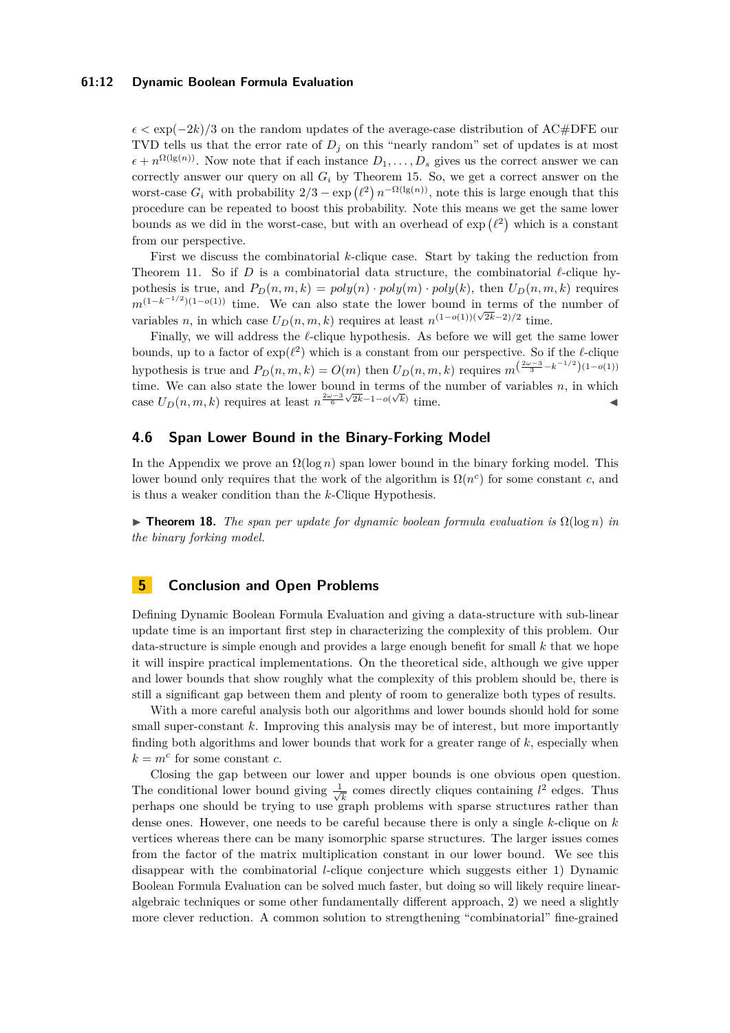## **61:12 Dynamic Boolean Formula Evaluation**

 $\epsilon < \exp(-2k)/3$  on the random updates of the average-case distribution of AC#DFE our TVD tells us that the error rate of  $D_j$  on this "nearly random" set of updates is at most  $\epsilon + n^{\Omega(\lg(n))}$ . Now note that if each instance  $D_1, \ldots, D_s$  gives us the correct answer we can correctly answer our query on all *G<sup>i</sup>* by Theorem [15.](#page-9-1) So, we get a correct answer on the worst-case  $G_i$  with probability  $2/3 - \exp(\ell^2) n^{-\Omega(\lg(n))}$ , note this is large enough that this procedure can be repeated to boost this probability. Note this means we get the same lower bounds as we did in the worst-case, but with an overhead of  $\exp(\ell^2)$  which is a constant from our perspective.

First we discuss the combinatorial *k*-clique case. Start by taking the reduction from Theorem [11.](#page-8-2) So if *D* is a combinatorial data structure, the combinatorial *ℓ*-clique hypothesis is true, and  $P_D(n, m, k) = poly(n) \cdot poly(m) \cdot poly(k)$ , then  $U_D(n, m, k)$  requires  $m^{(1-k^{-1/2})(1-o(1))}$  time. We can also state the lower bound in terms of the number of variables *n*, in which case  $U_D(n, m, k)$  requires at least  $n^{(1-o(1))(\sqrt{2k}-2)/2}$  time.

Finally, we will address the *ℓ*-clique hypothesis. As before we will get the same lower bounds, up to a factor of  $exp(\ell^2)$  which is a constant from our perspective. So if the  $\ell$ -clique hypothesis is true and  $P_D(n, m, k) = O(m)$  then  $U_D(n, m, k)$  requires  $m^{\left(\frac{2\omega-3}{3} - k^{-1/2}\right)(1 - o(1))}$ time. We can also state the lower bound in terms of the number of variables *n*, in which case  $U_D(n,m,k)$  requires at least  $n^{\frac{2\omega-3}{6}\sqrt{2k}-1-o(\sqrt{k})}$  time.

# **4.6 Span Lower Bound in the Binary-Forking Model**

In the Appendix we prove an  $\Omega(\log n)$  span lower bound in the binary forking model. This lower bound only requires that the work of the algorithm is  $\Omega(n^c)$  for some constant *c*, and is thus a weaker condition than the *k*-Clique Hypothesis.

 $\triangleright$  **Theorem 18.** The span per update for dynamic boolean formula evaluation is  $\Omega(\log n)$  in *the binary forking model.*

# **5 Conclusion and Open Problems**

Defining Dynamic Boolean Formula Evaluation and giving a data-structure with sub-linear update time is an important first step in characterizing the complexity of this problem. Our data-structure is simple enough and provides a large enough benefit for small *k* that we hope it will inspire practical implementations. On the theoretical side, although we give upper and lower bounds that show roughly what the complexity of this problem should be, there is still a significant gap between them and plenty of room to generalize both types of results.

With a more careful analysis both our algorithms and lower bounds should hold for some small super-constant *k*. Improving this analysis may be of interest, but more importantly finding both algorithms and lower bounds that work for a greater range of *k*, especially when  $k = m^c$  for some constant *c*.

Closing the gap between our lower and upper bounds is one obvious open question. The conditional lower bound giving  $\frac{1}{\sqrt{2}}$  $\frac{1}{k}$  comes directly cliques containing  $l^2$  edges. Thus perhaps one should be trying to use graph problems with sparse structures rather than dense ones. However, one needs to be careful because there is only a single *k*-clique on *k* vertices whereas there can be many isomorphic sparse structures. The larger issues comes from the factor of the matrix multiplication constant in our lower bound. We see this disappear with the combinatorial *l*-clique conjecture which suggests either 1) Dynamic Boolean Formula Evaluation can be solved much faster, but doing so will likely require linearalgebraic techniques or some other fundamentally different approach, 2) we need a slightly more clever reduction. A common solution to strengthening "combinatorial" fine-grained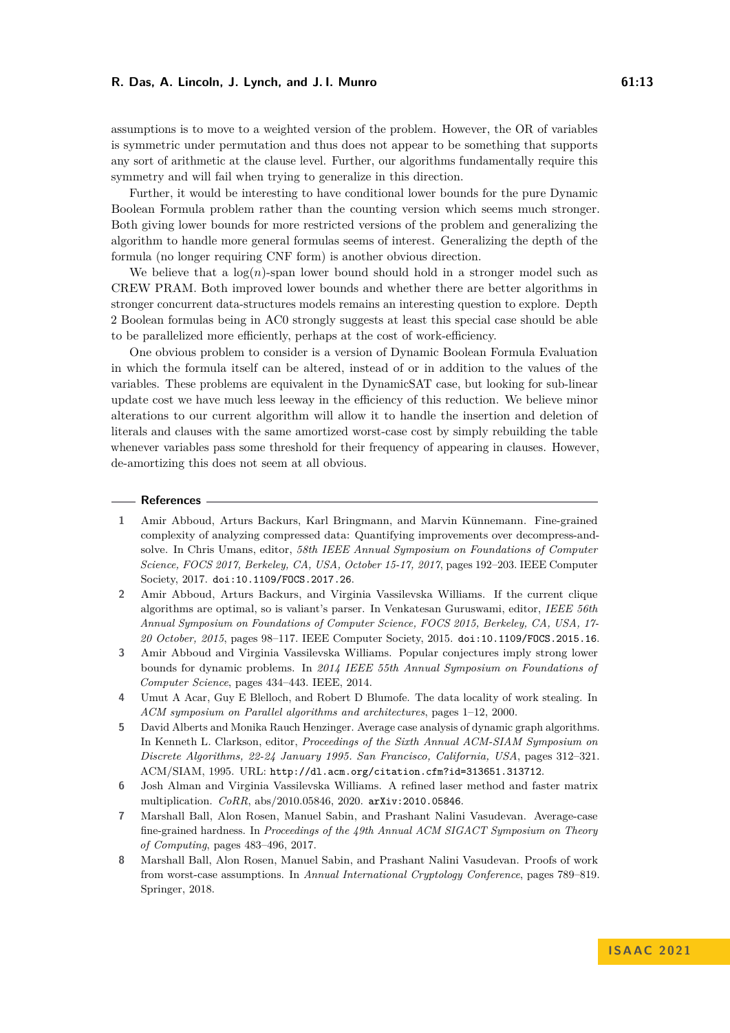assumptions is to move to a weighted version of the problem. However, the OR of variables is symmetric under permutation and thus does not appear to be something that supports any sort of arithmetic at the clause level. Further, our algorithms fundamentally require this symmetry and will fail when trying to generalize in this direction.

Further, it would be interesting to have conditional lower bounds for the pure Dynamic Boolean Formula problem rather than the counting version which seems much stronger. Both giving lower bounds for more restricted versions of the problem and generalizing the algorithm to handle more general formulas seems of interest. Generalizing the depth of the formula (no longer requiring CNF form) is another obvious direction.

We believe that a  $log(n)$ -span lower bound should hold in a stronger model such as CREW PRAM. Both improved lower bounds and whether there are better algorithms in stronger concurrent data-structures models remains an interesting question to explore. Depth 2 Boolean formulas being in AC0 strongly suggests at least this special case should be able to be parallelized more efficiently, perhaps at the cost of work-efficiency.

One obvious problem to consider is a version of Dynamic Boolean Formula Evaluation in which the formula itself can be altered, instead of or in addition to the values of the variables. These problems are equivalent in the DynamicSAT case, but looking for sub-linear update cost we have much less leeway in the efficiency of this reduction. We believe minor alterations to our current algorithm will allow it to handle the insertion and deletion of literals and clauses with the same amortized worst-case cost by simply rebuilding the table whenever variables pass some threshold for their frequency of appearing in clauses. However, de-amortizing this does not seem at all obvious.

#### **References**

- <span id="page-12-6"></span>**1** Amir Abboud, Arturs Backurs, Karl Bringmann, and Marvin Künnemann. Fine-grained complexity of analyzing compressed data: Quantifying improvements over decompress-andsolve. In Chris Umans, editor, *58th IEEE Annual Symposium on Foundations of Computer Science, FOCS 2017, Berkeley, CA, USA, October 15-17, 2017*, pages 192–203. IEEE Computer Society, 2017. [doi:10.1109/FOCS.2017.26](https://doi.org/10.1109/FOCS.2017.26).
- <span id="page-12-5"></span>**2** Amir Abboud, Arturs Backurs, and Virginia Vassilevska Williams. If the current clique algorithms are optimal, so is valiant's parser. In Venkatesan Guruswami, editor, *IEEE 56th Annual Symposium on Foundations of Computer Science, FOCS 2015, Berkeley, CA, USA, 17- 20 October, 2015*, pages 98–117. IEEE Computer Society, 2015. [doi:10.1109/FOCS.2015.16](https://doi.org/10.1109/FOCS.2015.16).
- <span id="page-12-0"></span>**3** Amir Abboud and Virginia Vassilevska Williams. Popular conjectures imply strong lower bounds for dynamic problems. In *2014 IEEE 55th Annual Symposium on Foundations of Computer Science*, pages 434–443. IEEE, 2014.
- <span id="page-12-7"></span>**4** Umut A Acar, Guy E Blelloch, and Robert D Blumofe. The data locality of work stealing. In *ACM symposium on Parallel algorithms and architectures*, pages 1–12, 2000.
- <span id="page-12-1"></span>**5** David Alberts and Monika Rauch Henzinger. Average case analysis of dynamic graph algorithms. In Kenneth L. Clarkson, editor, *Proceedings of the Sixth Annual ACM-SIAM Symposium on Discrete Algorithms, 22-24 January 1995. San Francisco, California, USA*, pages 312–321. ACM/SIAM, 1995. URL: <http://dl.acm.org/citation.cfm?id=313651.313712>.
- <span id="page-12-4"></span>**6** Josh Alman and Virginia Vassilevska Williams. A refined laser method and faster matrix multiplication. *CoRR*, abs/2010.05846, 2020. [arXiv:2010.05846](http://arxiv.org/abs/2010.05846).
- <span id="page-12-2"></span>**7** Marshall Ball, Alon Rosen, Manuel Sabin, and Prashant Nalini Vasudevan. Average-case fine-grained hardness. In *Proceedings of the 49th Annual ACM SIGACT Symposium on Theory of Computing*, pages 483–496, 2017.
- <span id="page-12-3"></span>**8** Marshall Ball, Alon Rosen, Manuel Sabin, and Prashant Nalini Vasudevan. Proofs of work from worst-case assumptions. In *Annual International Cryptology Conference*, pages 789–819. Springer, 2018.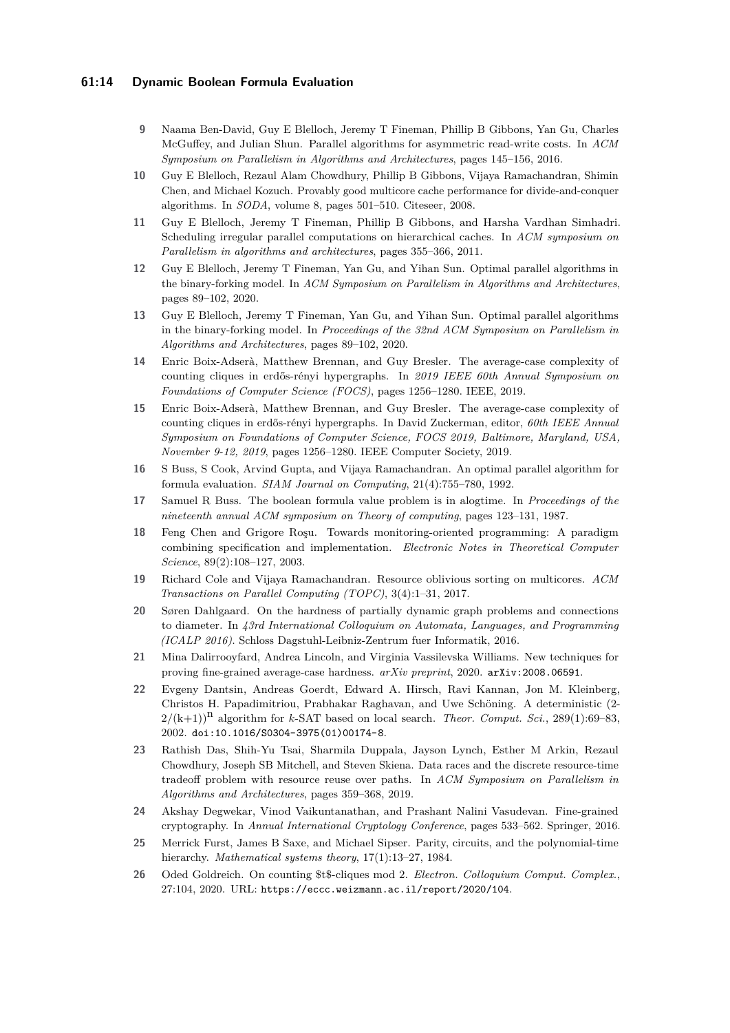## **61:14 Dynamic Boolean Formula Evaluation**

- <span id="page-13-11"></span>**9** Naama Ben-David, Guy E Blelloch, Jeremy T Fineman, Phillip B Gibbons, Yan Gu, Charles McGuffey, and Julian Shun. Parallel algorithms for asymmetric read-write costs. In *ACM Symposium on Parallelism in Algorithms and Architectures*, pages 145–156, 2016.
- <span id="page-13-12"></span>**10** Guy E Blelloch, Rezaul Alam Chowdhury, Phillip B Gibbons, Vijaya Ramachandran, Shimin Chen, and Michael Kozuch. Provably good multicore cache performance for divide-and-conquer algorithms. In *SODA*, volume 8, pages 501–510. Citeseer, 2008.
- <span id="page-13-13"></span>**11** Guy E Blelloch, Jeremy T Fineman, Phillip B Gibbons, and Harsha Vardhan Simhadri. Scheduling irregular parallel computations on hierarchical caches. In *ACM symposium on Parallelism in algorithms and architectures*, pages 355–366, 2011.
- <span id="page-13-10"></span>**12** Guy E Blelloch, Jeremy T Fineman, Yan Gu, and Yihan Sun. Optimal parallel algorithms in the binary-forking model. In *ACM Symposium on Parallelism in Algorithms and Architectures*, pages 89–102, 2020.
- <span id="page-13-15"></span>**13** Guy E Blelloch, Jeremy T Fineman, Yan Gu, and Yihan Sun. Optimal parallel algorithms in the binary-forking model. In *Proceedings of the 32nd ACM Symposium on Parallelism in Algorithms and Architectures*, pages 89–102, 2020.
- <span id="page-13-6"></span>**14** Enric Boix-Adserà, Matthew Brennan, and Guy Bresler. The average-case complexity of counting cliques in erdős-rényi hypergraphs. In *2019 IEEE 60th Annual Symposium on Foundations of Computer Science (FOCS)*, pages 1256–1280. IEEE, 2019.
- <span id="page-13-17"></span>**15** Enric Boix-Adserà, Matthew Brennan, and Guy Bresler. The average-case complexity of counting cliques in erdős-rényi hypergraphs. In David Zuckerman, editor, *60th IEEE Annual Symposium on Foundations of Computer Science, FOCS 2019, Baltimore, Maryland, USA, November 9-12, 2019*, pages 1256–1280. IEEE Computer Society, 2019.
- <span id="page-13-3"></span>**16** S Buss, S Cook, Arvind Gupta, and Vijaya Ramachandran. An optimal parallel algorithm for formula evaluation. *SIAM Journal on Computing*, 21(4):755–780, 1992.
- <span id="page-13-2"></span>**17** Samuel R Buss. The boolean formula value problem is in alogtime. In *Proceedings of the nineteenth annual ACM symposium on Theory of computing*, pages 123–131, 1987.
- <span id="page-13-1"></span>**18** Feng Chen and Grigore Roşu. Towards monitoring-oriented programming: A paradigm combining specification and implementation. *Electronic Notes in Theoretical Computer Science*, 89(2):108–127, 2003.
- <span id="page-13-16"></span>**19** Richard Cole and Vijaya Ramachandran. Resource oblivious sorting on multicores. *ACM Transactions on Parallel Computing (TOPC)*, 3(4):1–31, 2017.
- <span id="page-13-5"></span>**20** Søren Dahlgaard. On the hardness of partially dynamic graph problems and connections to diameter. In *43rd International Colloquium on Automata, Languages, and Programming (ICALP 2016)*. Schloss Dagstuhl-Leibniz-Zentrum fuer Informatik, 2016.
- <span id="page-13-7"></span>**21** Mina Dalirrooyfard, Andrea Lincoln, and Virginia Vassilevska Williams. New techniques for proving fine-grained average-case hardness. *arXiv preprint*, 2020. [arXiv:2008.06591](http://arxiv.org/abs/2008.06591).
- <span id="page-13-0"></span>**22** Evgeny Dantsin, Andreas Goerdt, Edward A. Hirsch, Ravi Kannan, Jon M. Kleinberg, Christos H. Papadimitriou, Prabhakar Raghavan, and Uwe Schöning. A deterministic (2-  $2/(k+1)$ <sup>n</sup> algorithm for *k*-SAT based on local search. *Theor. Comput. Sci.*, 289(1):69–83, 2002. [doi:10.1016/S0304-3975\(01\)00174-8](https://doi.org/10.1016/S0304-3975(01)00174-8).
- <span id="page-13-14"></span>**23** Rathish Das, Shih-Yu Tsai, Sharmila Duppala, Jayson Lynch, Esther M Arkin, Rezaul Chowdhury, Joseph SB Mitchell, and Steven Skiena. Data races and the discrete resource-time tradeoff problem with resource reuse over paths. In *ACM Symposium on Parallelism in Algorithms and Architectures*, pages 359–368, 2019.
- <span id="page-13-8"></span>**24** Akshay Degwekar, Vinod Vaikuntanathan, and Prashant Nalini Vasudevan. Fine-grained cryptography. In *Annual International Cryptology Conference*, pages 533–562. Springer, 2016.
- <span id="page-13-4"></span>**25** Merrick Furst, James B Saxe, and Michael Sipser. Parity, circuits, and the polynomial-time hierarchy. *Mathematical systems theory*, 17(1):13–27, 1984.
- <span id="page-13-9"></span>**26** Oded Goldreich. On counting \$t\$-cliques mod 2. *Electron. Colloquium Comput. Complex.*, 27:104, 2020. URL: <https://eccc.weizmann.ac.il/report/2020/104>.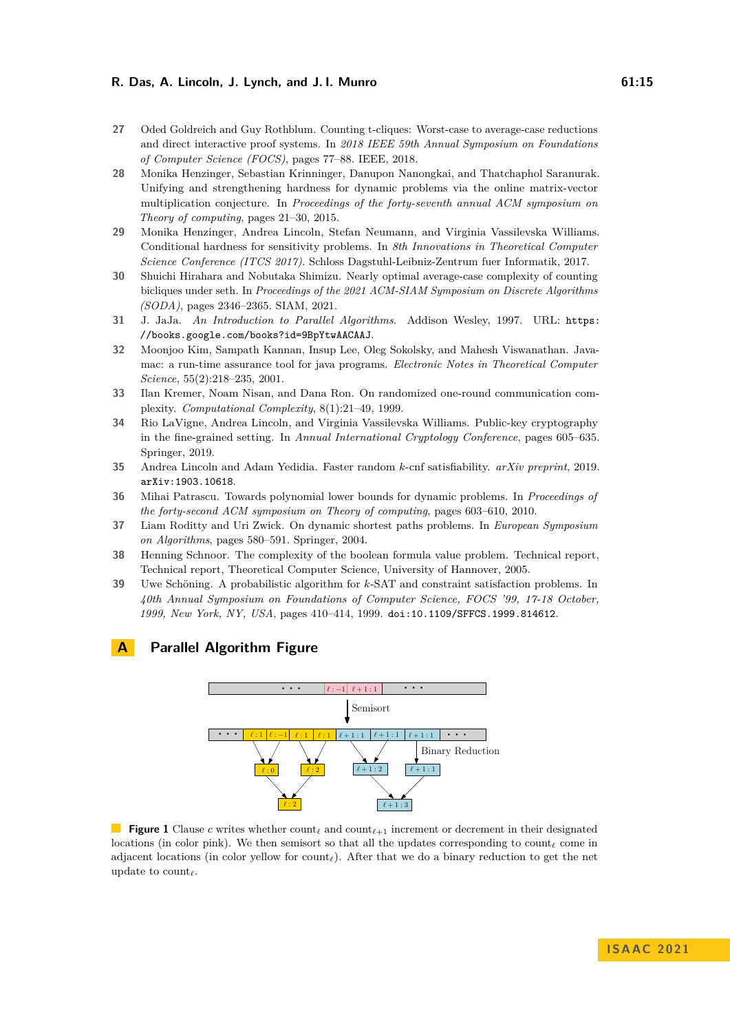- <span id="page-14-8"></span>**27** Oded Goldreich and Guy Rothblum. Counting t-cliques: Worst-case to average-case reductions and direct interactive proof systems. In *2018 IEEE 59th Annual Symposium on Foundations of Computer Science (FOCS)*, pages 77–88. IEEE, 2018.
- <span id="page-14-6"></span>**28** Monika Henzinger, Sebastian Krinninger, Danupon Nanongkai, and Thatchaphol Saranurak. Unifying and strengthening hardness for dynamic problems via the online matrix-vector multiplication conjecture. In *Proceedings of the forty-seventh annual ACM symposium on Theory of computing*, pages 21–30, 2015.
- <span id="page-14-7"></span>**29** Monika Henzinger, Andrea Lincoln, Stefan Neumann, and Virginia Vassilevska Williams. Conditional hardness for sensitivity problems. In *8th Innovations in Theoretical Computer Science Conference (ITCS 2017)*. Schloss Dagstuhl-Leibniz-Zentrum fuer Informatik, 2017.
- <span id="page-14-9"></span>**30** Shuichi Hirahara and Nobutaka Shimizu. Nearly optimal average-case complexity of counting bicliques under seth. In *Proceedings of the 2021 ACM-SIAM Symposium on Discrete Algorithms (SODA)*, pages 2346–2365. SIAM, 2021.
- <span id="page-14-11"></span>**31** J. JaJa. *An Introduction to Parallel Algorithms*. Addison Wesley, 1997. URL: [https:](https://books.google.com/books?id=9BpYtwAACAAJ) [//books.google.com/books?id=9BpYtwAACAAJ](https://books.google.com/books?id=9BpYtwAACAAJ).
- <span id="page-14-2"></span>**32** Moonjoo Kim, Sampath Kannan, Insup Lee, Oleg Sokolsky, and Mahesh Viswanathan. Javamac: a run-time assurance tool for java programs. *Electronic Notes in Theoretical Computer Science*, 55(2):218–235, 2001.
- <span id="page-14-14"></span>**33** Ilan Kremer, Noam Nisan, and Dana Ron. On randomized one-round communication complexity. *Computational Complexity*, 8(1):21–49, 1999.
- <span id="page-14-10"></span>**34** Rio LaVigne, Andrea Lincoln, and Virginia Vassilevska Williams. Public-key cryptography in the fine-grained setting. In *Annual International Cryptology Conference*, pages 605–635. Springer, 2019.
- <span id="page-14-1"></span>**35** Andrea Lincoln and Adam Yedidia. Faster random *k*-cnf satisfiability. *arXiv preprint*, 2019. [arXiv:1903.10618](http://arxiv.org/abs/1903.10618).
- <span id="page-14-5"></span>**36** Mihai Patrascu. Towards polynomial lower bounds for dynamic problems. In *Proceedings of the forty-second ACM symposium on Theory of computing*, pages 603–610, 2010.
- <span id="page-14-4"></span>**37** Liam Roditty and Uri Zwick. On dynamic shortest paths problems. In *European Symposium on Algorithms*, pages 580–591. Springer, 2004.
- <span id="page-14-3"></span>**38** Henning Schnoor. The complexity of the boolean formula value problem. Technical report, Technical report, Theoretical Computer Science, University of Hannover, 2005.
- <span id="page-14-0"></span>**39** Uwe Schöning. A probabilistic algorithm for *k*-SAT and constraint satisfaction problems. In *40th Annual Symposium on Foundations of Computer Science, FOCS '99, 17-18 October, 1999, New York, NY, USA*, pages 410–414, 1999. [doi:10.1109/SFFCS.1999.814612](https://doi.org/10.1109/SFFCS.1999.814612).

# <span id="page-14-13"></span><span id="page-14-12"></span>**A Parallel Algorithm Figure**



**Figure 1** Clause *c* writes whether count*<sup>ℓ</sup>* and count*<sup>ℓ</sup>*+1 increment or decrement in their designated locations (in color pink). We then semisort so that all the updates corresponding to count*<sup>ℓ</sup>* come in adjacent locations (in color yellow for count*ℓ*). After that we do a binary reduction to get the net update to count*ℓ*.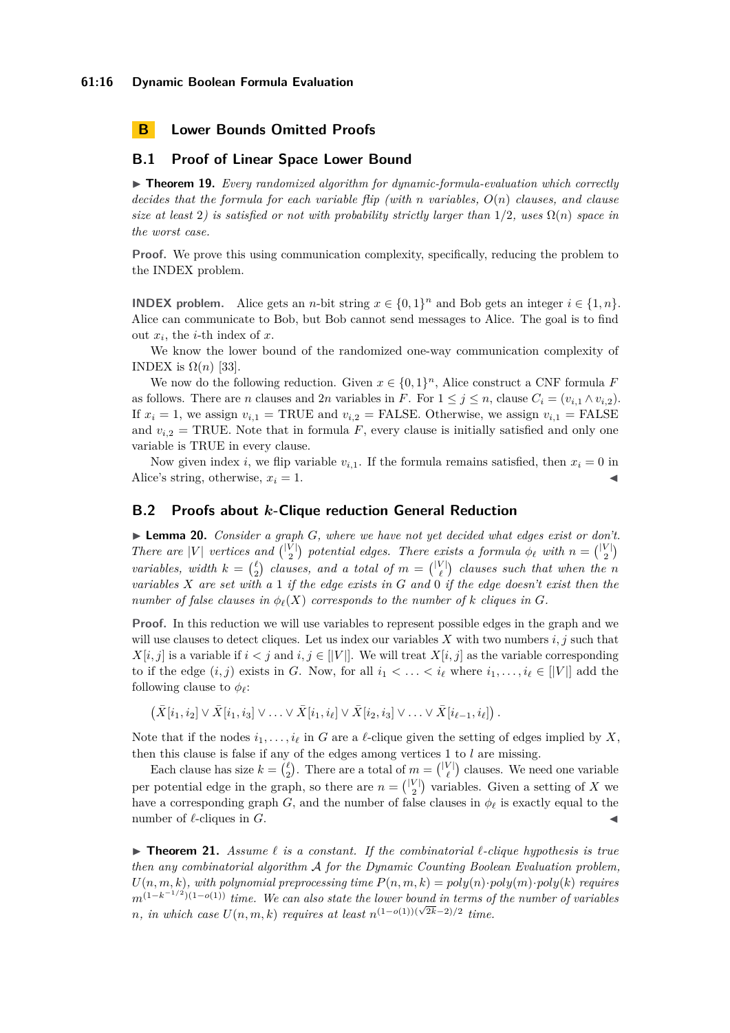#### **61:16 Dynamic Boolean Formula Evaluation**

# **B Lower Bounds Omitted Proofs**

## **B.1 Proof of Linear Space Lower Bound**

▶ **Theorem 19.** *Every randomized algorithm for dynamic-formula-evaluation which correctly decides that the formula for each variable flip (with n variables, O*(*n*) *clauses, and clause size at least* 2) is satisfied or not with probability strictly larger than  $1/2$ *, uses*  $\Omega(n)$  *space in the worst case.*

**Proof.** We prove this using communication complexity, specifically, reducing the problem to the INDEX problem.

**INDEX problem.** Alice gets an *n*-bit string  $x \in \{0,1\}^n$  and Bob gets an integer  $i \in \{1,n\}$ . Alice can communicate to Bob, but Bob cannot send messages to Alice. The goal is to find out  $x_i$ , the *i*-th index of  $x$ .

We know the lower bound of the randomized one-way communication complexity of INDEX is  $\Omega(n)$  [\[33\]](#page-14-14).

We now do the following reduction. Given  $x \in \{0,1\}^n$ , Alice construct a CNF formula *F* as follows. There are *n* clauses and 2*n* variables in *F*. For  $1 \leq j \leq n$ , clause  $C_i = (v_{i,1} \wedge v_{i,2})$ . If  $x_i = 1$ , we assign  $v_{i,1} = \text{TRUE}$  and  $v_{i,2} = \text{FALSE}$ . Otherwise, we assign  $v_{i,1} = \text{FALSE}$ and  $v_{i,2}$  = TRUE. Note that in formula  $F$ , every clause is initially satisfied and only one variable is TRUE in every clause.

Now given index *i*, we flip variable  $v_{i,1}$ . If the formula remains satisfied, then  $x_i = 0$  in Alice's string, otherwise,  $x_i = 1$ .

# **B.2 Proofs about** *k***-Clique reduction General Reduction**

▶ **Lemma 20.** *Consider a graph G, where we have not yet decided what edges exist or don't. There are* |*V*| *vertices and*  $\binom{|V|}{2}$  *potential edges. There exists a formula*  $\phi_{\ell}$  *with*  $n = \binom{|V|}{2}$ *variables, width*  $k = \binom{\ell}{2}$  *clauses, and a total of*  $m = \binom{|V|}{\ell}$  *clauses such that when the n variables X are set with a* 1 *if the edge exists in G and* 0 *if the edge doesn't exist then the number of false clauses in*  $\phi_{\ell}(X)$  *corresponds to the number of k cliques in G*.

**Proof.** In this reduction we will use variables to represent possible edges in the graph and we will use clauses to detect cliques. Let us index our variables *X* with two numbers *i, j* such that  $X[i, j]$  is a variable if  $i < j$  and  $i, j \in |V|$ . We will treat  $X[i, j]$  as the variable corresponding to if the edge  $(i, j)$  exists in *G*. Now, for all  $i_1 < \ldots < i_\ell$  where  $i_1, \ldots, i_\ell \in ||V||$  add the following clause to  $\phi_{\ell}$ :

$$
(\bar{X}[i_1, i_2] \vee \bar{X}[i_1, i_3] \vee \ldots \vee \bar{X}[i_1, i_\ell] \vee \bar{X}[i_2, i_3] \vee \ldots \vee \bar{X}[i_{\ell-1}, i_\ell]).
$$

Note that if the nodes  $i_1, \ldots, i_\ell$  in *G* are a  $\ell$ -clique given the setting of edges implied by *X*, then this clause is false if any of the edges among vertices 1 to *l* are missing.

Each clause has size  $k = \binom{\ell}{2}$ . There are a total of  $m = \binom{|V|}{\ell}$  clauses. We need one variable per potential edge in the graph, so there are  $n = \binom{|V|}{2}$  variables. Given a setting of *X* we have a corresponding graph *G*, and the number of false clauses in  $\phi_{\ell}$  is exactly equal to the number of  $\ell$ -cliques in  $G$ .

▶ **Theorem 21.** *Assume ℓ is a constant. If the combinatorial ℓ-clique hypothesis is true then any combinatorial algorithm* A *for the Dynamic Counting Boolean Evaluation problem,*  $U(n, m, k)$ , with polynomial preprocessing time  $P(n, m, k) = poly(n) \cdot poly(m) \cdot poly(k)$  requires *m*<sup>(1−*k*<sup>-1/2</sup>)(1−*o*(1)) *time.* We can also state the lower bound in terms of the number of variables</sup> *n*, in which case  $U(n, m, k)$  requires at least  $n^{(1-o(1))(\sqrt{2k}-2)/2}$  time.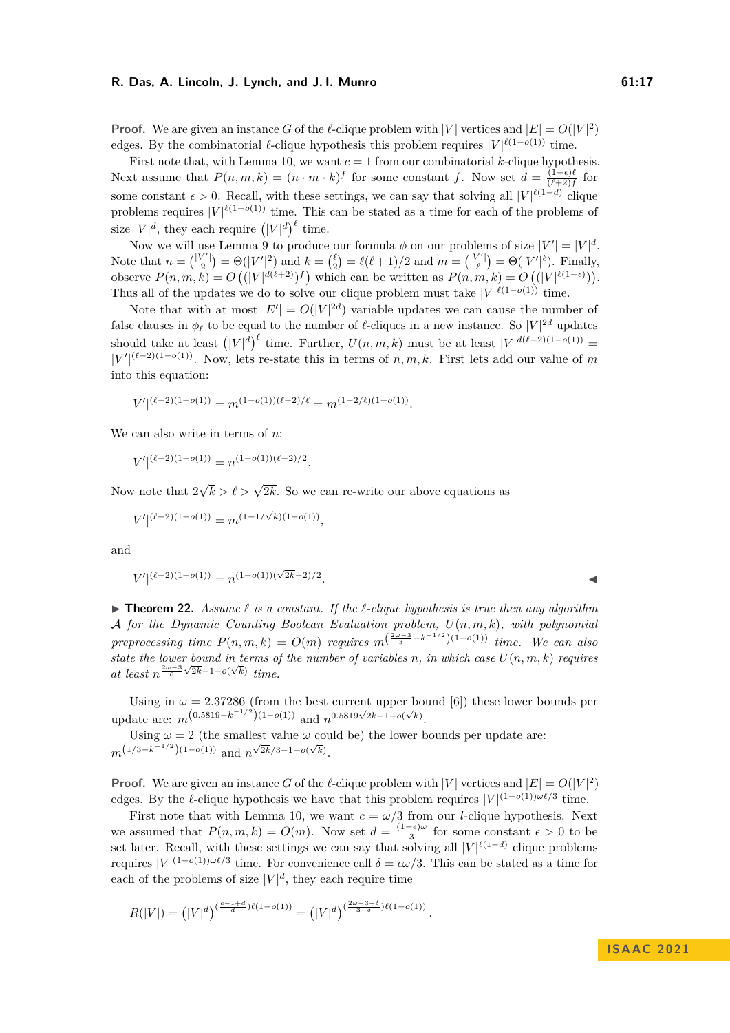**Proof.** We are given an instance *G* of the *ℓ*-clique problem with  $|V|$  vertices and  $|E| = O(|V|^2)$ edges. By the combinatorial  $\ell$ -clique hypothesis this problem requires  $|V|^{\ell(1-o(1))}$  time.

First note that, with Lemma [10,](#page-8-0) we want  $c = 1$  from our combinatorial *k*-clique hypothesis. Next assume that  $P(n, m, k) = (n \cdot m \cdot k)^f$  for some constant *f*. Now set  $d = \frac{(1 - \epsilon)^g}{(\ell + 2)^f}$  $\frac{(1-\epsilon)\ell}{(\ell+2)f}$  for some constant  $\epsilon > 0$ . Recall, with these settings, we can say that solving all  $|V|^{\ell(1-d)}$  clique problems requires  $|V|^{\ell(1-o(1))}$  time. This can be stated as a time for each of the problems of size  $|V|^d$ , they each require  $(|V|^d)^{\ell}$  time.

Now we will use Lemma [9](#page-7-1) to produce our formula  $\phi$  on our problems of size  $|V'| = |V|^d$ . Note that  $n = \binom{|V'|}{2} = \Theta(|V'|^2)$  and  $k = \binom{\ell}{2} = \ell(\ell+1)/2$  and  $m = \binom{|V'|}{\ell} = \Theta(|V'|^{\ell})$ . Finally, observe  $P(n, m, k) = O\left((|V|^{d(\ell+2)})^f\right)$  which can be written as  $P(n, m, k) = O\left((|V|^{\ell(1-\epsilon)})\right)$ . Thus all of the updates we do to solve our clique problem must take  $|V|^{\ell(1-o(1))}$  time.

Note that with at most  $|E'| = O(|V|^{2d})$  variable updates we can cause the number of false clauses in  $\phi_{\ell}$  to be equal to the number of  $\ell$ -cliques in a new instance. So  $|V|^{2d}$  updates should take at least  $(|V|^d)^{\ell}$  time. Further,  $U(n, m, k)$  must be at least  $|V|^{d(\ell-2)(1-o(1))}$  $|V'|^{(\ell-2)(1-o(1))}$ . Now, lets re-state this in terms of *n, m, k*. First lets add our value of *m* into this equation:

$$
|V'|^{(\ell-2)(1-o(1))} = m^{(1-o(1))(\ell-2)/\ell} = m^{(1-2/\ell)(1-o(1))}.
$$

We can also write in terms of *n*:

$$
|V'|^{(\ell-2)(1-o(1))} = n^{(1-o(1))(\ell-2)/2}.
$$

Now note that 2  $\sqrt{k} > \ell > \sqrt{2k}$ . So we can re-write our above equations as

$$
|V'|^{(\ell-2)(1-o(1))} = m^{(1-1/\sqrt{k})(1-o(1))},
$$

and

$$
|V'|^{(\ell-2)(1-o(1))} = n^{(1-o(1))(\sqrt{2k}-2)/2}.
$$

▶ **Theorem 22.** *Assume ℓ is a constant. If the ℓ-clique hypothesis is true then any algorithm* A *for the Dynamic Counting Boolean Evaluation problem, U*(*n, m, k*)*, with polynomial preprocessing time*  $P(n, m, k) = O(m)$  *requires*  $m^{\left(\frac{2\omega-3}{3} - k^{-1/2}\right)(1-o(1))}$  *time.* We can also state the lower bound in terms of the number of variables *n*, in which case  $U(n, m, k)$  requires *at least*  $n^{\frac{2\omega-3}{6}\sqrt{2k}-1-o(\sqrt{k})}$  *time.* 

Using in  $\omega = 2.37286$  (from the best current upper bound [\[6\]](#page-12-4)) these lower bounds per update are:  $m^{(0.5819-k^{-1/2})(1-o(1))}$  and  $n^{0.5819\sqrt{2k}-1-o(\sqrt{k})}$ .

Using  $\omega = 2$  (the smallest value  $\omega$  could be) the lower bounds per update are:  $m^{(1/3-k^{-1/2}) (1-o(1))}$  and  $n^{\sqrt{2k}/3-1-o(\sqrt{k})}$ .

**Proof.** We are given an instance *G* of the *ℓ*-clique problem with  $|V|$  vertices and  $|E| = O(|V|^2)$ edges. By the  $\ell$ -clique hypothesis we have that this problem requires  $|V|^{(1-o(1))\omega\ell/3}$  time.

First note that with Lemma [10,](#page-8-0) we want  $c = \omega/3$  from our *l*-clique hypothesis. Next we assumed that  $P(n, m, k) = O(m)$ . Now set  $d = \frac{(1-\epsilon)\omega}{3}$  $\frac{-\epsilon}{3}$  for some constant  $\epsilon > 0$  to be set later. Recall, with these settings we can say that solving all  $|V|^{\ell(1-d)}$  clique problems requires  $|V|^{(1-o(1))\omega\ell/3}$  time. For convenience call  $\delta = \epsilon \omega/3$ . This can be stated as a time for each of the problems of size  $|V|^d$ , they each require time

$$
R(|V|) = (|V|^d)^{(\frac{c-1+d}{d})\ell(1-o(1))} = (|V|^d)^{(\frac{2\omega-3-\delta}{3-\delta})\ell(1-o(1))}.
$$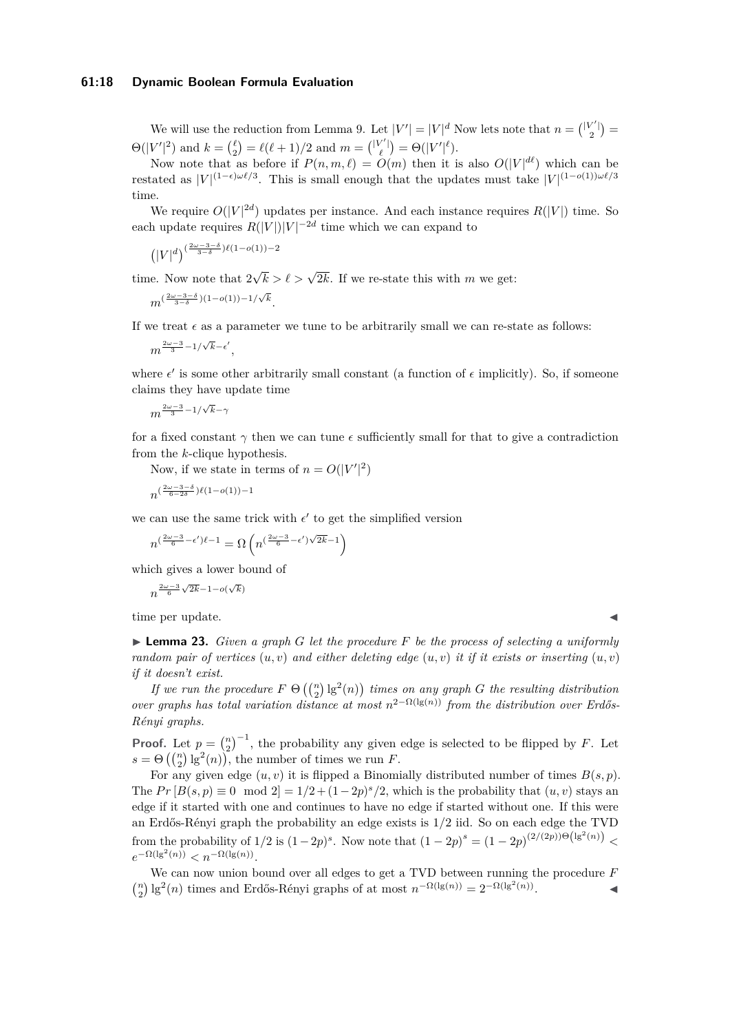#### **61:18 Dynamic Boolean Formula Evaluation**

We will use the reduction from Lemma [9.](#page-7-1) Let  $|V'| = |V|^d$  Now lets note that  $n = \binom{|V'|}{2}$  $\Theta(|V'|^2)$  and  $k = \binom{\ell}{2} = \ell(\ell+1)/2$  and  $m = \binom{|V'|}{\ell} = \Theta(|V'|^{\ell}).$ 

Now note that as before if  $P(n, m, \ell) = O(m)$  then it is also  $O(|V|^{d\ell})$  which can be restated as  $|V|^{(1-\epsilon)\omega\ell/3}$ . This is small enough that the updates must take  $|V|^{(1-o(1))\omega\ell/3}$ time.

We require  $O(|V|^{2d})$  updates per instance. And each instance requires  $R(|V|)$  time. So each update requires  $R(|V|)|V|^{-2d}$  time which we can expand to

$$
(|V|^{d})^{\left(\frac{2\omega-3-\delta}{3-\delta}\right)\ell(1-o(1))-2}
$$

time. Now note that 2  $\sqrt{k} > \ell > \sqrt{2k}$ . If we re-state this with *m* we get:

$$
m^{(\frac{2\omega-3-\delta}{3-\delta})(1-o(1))-1/\sqrt{k}}.
$$

If we treat  $\epsilon$  as a parameter we tune to be arbitrarily small we can re-state as follows:

$$
m^{\frac{2\omega-3}{3}-1/\sqrt{k}-\epsilon'},
$$

where  $\epsilon'$  is some other arbitrarily small constant (a function of  $\epsilon$  implicitly). So, if someone claims they have update time

 $m^{\frac{2\omega-3}{3}-1/\sqrt{k}-\gamma}$ 

for a fixed constant  $\gamma$  then we can tune  $\epsilon$  sufficiently small for that to give a contradiction from the *k*-clique hypothesis.

Now, if we state in terms of  $n = O(|V'|^2)$ 

$$
n^{(\frac{2\omega-3-\delta}{6-2\delta})\ell(1-o(1))-1}
$$

we can use the same trick with  $\epsilon'$  to get the simplified version

 $n^{(\frac{2\omega-3}{6}-\epsilon')\ell-1} = \Omega\left(n^{(\frac{2\omega-3}{6}-\epsilon')\sqrt{2k}-1}\right)$ 

which gives a lower bound of

$$
n^{\frac{2\omega-3}{6}\sqrt{2k}-1-o(\sqrt{k})}
$$

time per update.

▶ **Lemma 23.** *Given a graph G let the procedure F be the process of selecting a uniformly random pair of vertices*  $(u, v)$  *and either deleting edge*  $(u, v)$  *it if it exists or inserting*  $(u, v)$ *if it doesn't exist.*

*If we run the procedure*  $F \Theta\left(\binom{n}{2}lg^2(n)\right)$  *times on any graph G the resulting distribution over graphs has total variation distance at most*  $n^{2-\Omega(\lg(n))}$  *from the distribution over Erdős-Rényi graphs.*

**Proof.** Let  $p = \binom{n}{2}^{-1}$ , the probability any given edge is selected to be flipped by *F*. Let  $s = \Theta\left(\binom{n}{2}lg^2(n)\right)$ , the number of times we run *F*.

For any given edge  $(u, v)$  it is flipped a Binomially distributed number of times  $B(s, p)$ . The  $Pr[B(s, p) \equiv 0 \mod 2] = 1/2 + (1-2p)^s/2$ , which is the probability that  $(u, v)$  stays an edge if it started with one and continues to have no edge if started without one. If this were an Erdős-Rényi graph the probability an edge exists is 1*/*2 iid. So on each edge the TVD from the probability of  $1/2$  is  $(1-2p)^s$ . Now note that  $(1-2p)^s = (1-2p)^{(2/(2p))\Theta(\lg^2(n))}$  $e^{-\Omega(\lg^2(n))} < n^{-\Omega(\lg(n))}$ .

We can now union bound over all edges to get a TVD between running the procedure *F*  $\binom{n}{2}$ lg<sup>2</sup>(*n*) times and Erdős-Rényi graphs of at most  $n^{-\Omega(\lg(n))} = 2^{-\Omega(\lg^2(n))}$ . ◀